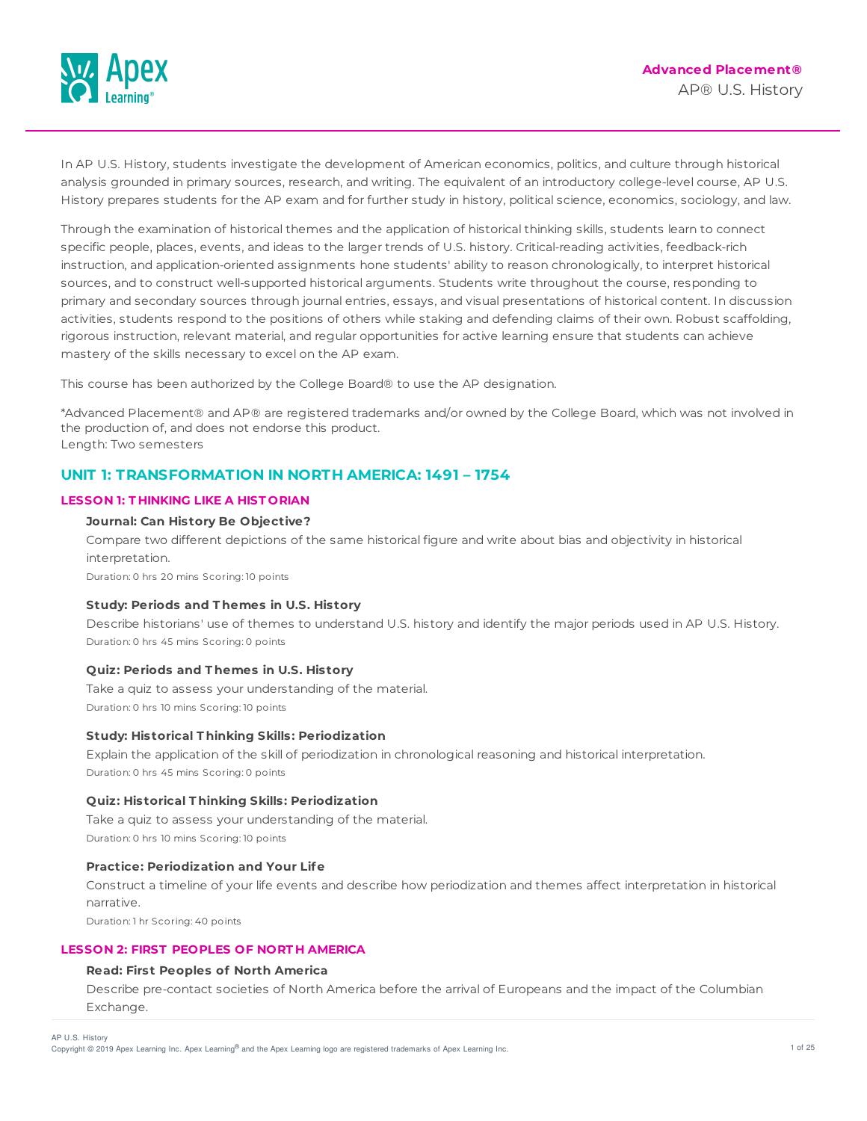

In AP U.S. History, students investigate the development of American economics, politics, and culture through historical analysis grounded in primary sources, research, and writing. The equivalent of an introductory college-level course, AP U.S. History prepares students for the AP exam and for further study in history, political science, economics, sociology, and law.

Through the examination of historical themes and the application of historical thinking skills, students learn to connect specific people, places, events, and ideas to the larger trends of U.S. history. Critical-reading activities, feedback-rich instruction, and application-oriented assignments hone students' ability to reason chronologically, to interpret historical sources, and to construct well-supported historical arguments. Students write throughout the course, responding to primary and secondary sources through journal entries, essays, and visual presentations of historical content. In discussion activities, students respond to the positions of others while staking and defending claims of their own. Robust scaffolding, rigorous instruction, relevant material, and regular opportunities for active learning ensure that students can achieve mastery of the skills necessary to excel on the AP exam.

This course has been authorized by the College Board® to use the AP designation.

\*Advanced Placement® and AP® are registered trademarks and/or owned by the College Board, which was not involved in the production of, and does not endorse this product. Length: Two semesters

# **UNIT 1: TRANSFORMATION IN NORTH AMERICA: 1491 – 1754**

# **LESSON 1: T HINKING LIKE A HIST ORIAN**

# **Journal: Can History Be Objective?**

Compare two different depictions of the same historical figure and write about bias and objectivity in historical interpretation.

Duration: 0 hrs 20 mins Scoring: 10 points

# **Study: Periods and T hemes in U.S. History**

Describe historians' use of themes to understand U.S. history and identify the major periods used in AP U.S. History. Duration: 0 hrs 45 mins Scoring: 0 points

# **Quiz: Periods and T hemes in U.S. History**

Take a quiz to assess your understanding of the material. Duration: 0 hrs 10 mins Scoring: 10 points

#### **Study: Historical T hinking Skills: Periodization**

Explain the application of the skill of periodization in chronological reasoning and historical interpretation. Duration: 0 hrs 45 mins Scoring: 0 points

#### **Quiz: Historical T hinking Skills: Periodization**

Take a quiz to assess your understanding of the material. Duration: 0 hrs 10 mins Scoring: 10 points

#### **Practice: Periodization and Your Life**

Construct a timeline of your life events and describe how periodization and themes affect interpretation in historical narrative.

Duration: 1 hr Scoring: 40 points

# **LESSON 2: FIRST PEOPLES OF NORT H AMERICA**

# **Read: First Peoples of North America**

Describe pre-contact societies of North America before the arrival of Europeans and the impact of the Columbian Exchange.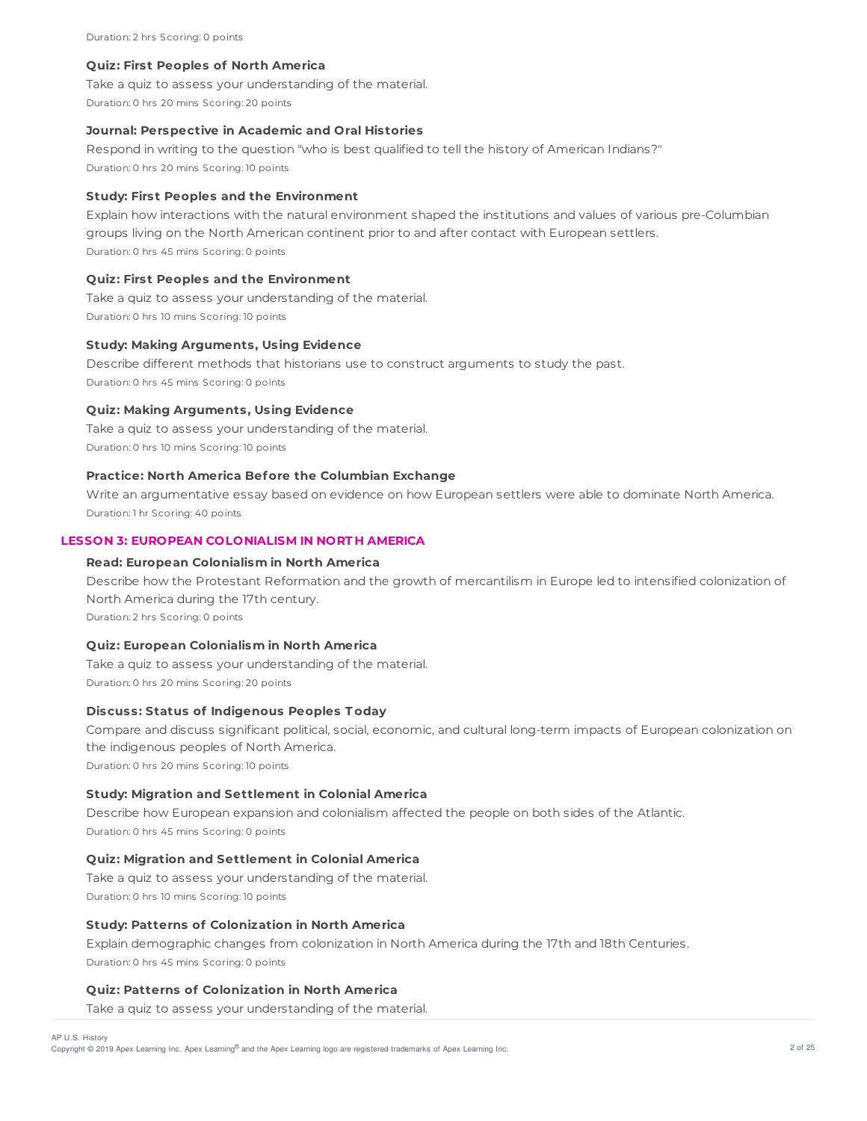#### **Quiz: First Peoples of North America**

Take a quiz to assess your understanding of the material.

Duration: 0 hrs 20 mins Scoring: 20 points

#### **Journal: Perspective in Academic and Oral Histories**

Respond in writing to the question "who is best qualified to tell the history of American Indians?" Duration: 0 hrs 20 mins Scoring: 10 points

#### **Study: First Peoples and the Environment**

Explain how interactions with the natural environment shaped the institutions and values of various pre-Columbian groups living on the North American continent prior to and after contact with European settlers. Duration: 0 hrs 45 mins Scoring: 0 points

# **Quiz: First Peoples and the Environment**

Take a quiz to assess your understanding of the material. Duration: 0 hrs 10 mins Scoring: 10 points

#### **Study: Making Arguments, Using Evidence**

Describe different methods that historians use to construct arguments to study the past. Duration: 0 hrs 45 mins Scoring: 0 points

## **Quiz: Making Arguments, Using Evidence**

Take a quiz to assess your understanding of the material. Duration: 0 hrs 10 mins Scoring: 10 points

# **Practice: North America Before the Columbian Exchange**

Write an argumentative essay based on evidence on how European settlers were able to dominate North America. Duration: 1 hr Scoring: 40 points

# **LESSON 3: EUROPEAN COLONIALISM IN NORT H AMERICA**

# **Read: European Colonialism in North America**

Describe how the Protestant Reformation and the growth of mercantilism in Europe led to intensified colonization of North America during the 17th century.

Duration: 2 hrs Scoring: 0 points

### **Quiz: European Colonialism in North America**

Take a quiz to assess your understanding of the material. Duration: 0 hrs 20 mins Scoring: 20 points

# **Discuss: Status of Indigenous Peoples T oday**

Compare and discuss significant political, social, economic, and cultural long-term impacts of European colonization on the indigenous peoples of North America.

Duration: 0 hrs 20 mins Scoring: 10 points

# **Study: Migration and Settlement in Colonial America**

Describe how European expansion and colonialism affected the people on both sides of the Atlantic. Duration: 0 hrs 45 mins Scoring: 0 points

#### **Quiz: Migration and Settlement in Colonial America**

Take a quiz to assess your understanding of the material. Duration: 0 hrs 10 mins Scoring: 10 points

#### **Study: Patterns of Colonization in North America**

Explain demographic changes from colonization in North America during the 17th and 18th Centuries. Duration: 0 hrs 45 mins Scoring: 0 points

# **Quiz: Patterns of Colonization in North America**

Take a quiz to assess your understanding of the material.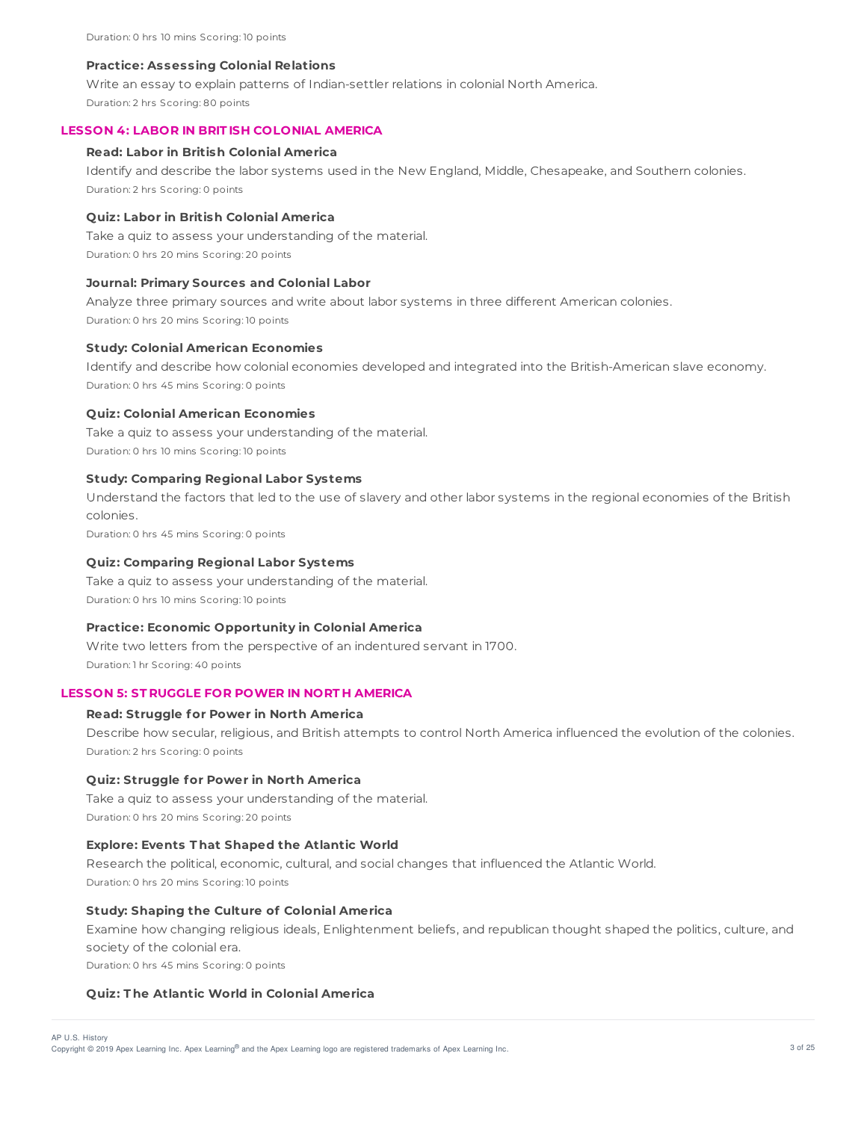#### **Practice: Assessing Colonial Relations**

Write an essay to explain patterns of Indian-settler relations in colonial North America.

Duration: 2 hrs Scoring: 80 points

## **LESSON 4: LABOR IN BRIT ISH COLONIAL AMERICA**

#### **Read: Labor in British Colonial America**

Identify and describe the labor systems used in the New England, Middle, Chesapeake, and Southern colonies. Duration: 2 hrs Scoring: 0 points

#### **Quiz: Labor in British Colonial America**

Take a quiz to assess your understanding of the material. Duration: 0 hrs 20 mins Scoring: 20 points

#### **Journal: Primary Sources and Colonial Labor**

Analyze three primary sources and write about labor systems in three different American colonies. Duration: 0 hrs 20 mins Scoring: 10 points

# **Study: Colonial American Economies**

Identify and describe how colonial economies developed and integrated into the British-American slave economy. Duration: 0 hrs 45 mins Scoring: 0 points

#### **Quiz: Colonial American Economies**

Take a quiz to assess your understanding of the material. Duration: 0 hrs 10 mins Scoring: 10 points

#### **Study: Comparing Regional Labor Systems**

Understand the factors that led to the use of slavery and other labor systems in the regional economies of the British colonies.

Duration: 0 hrs 45 mins Scoring: 0 points

#### **Quiz: Comparing Regional Labor Systems**

Take a quiz to assess your understanding of the material. Duration: 0 hrs 10 mins Scoring: 10 points

#### **Practice: Economic Opportunity in Colonial America**

Write two letters from the perspective of an indentured servant in 1700. Duration: 1 hr Scoring: 40 points

# **LESSON 5: ST RUGGLE FOR POWER IN NORT H AMERICA**

#### **Read: Struggle for Power in North America**

Describe how secular, religious, and British attempts to control North America influenced the evolution of the colonies. Duration: 2 hrs Scoring: 0 points

#### **Quiz: Struggle for Power in North America**

Take a quiz to assess your understanding of the material. Duration: 0 hrs 20 mins Scoring: 20 points

# **Explore: Events T hat Shaped the Atlantic World**

Research the political, economic, cultural, and social changes that influenced the Atlantic World. Duration: 0 hrs 20 mins Scoring: 10 points

## **Study: Shaping the Culture of Colonial America**

Examine how changing religious ideals, Enlightenment beliefs, and republican thought shaped the politics, culture, and society of the colonial era.

Duration: 0 hrs 45 mins Scoring: 0 points

#### **Quiz: T he Atlantic World in Colonial America**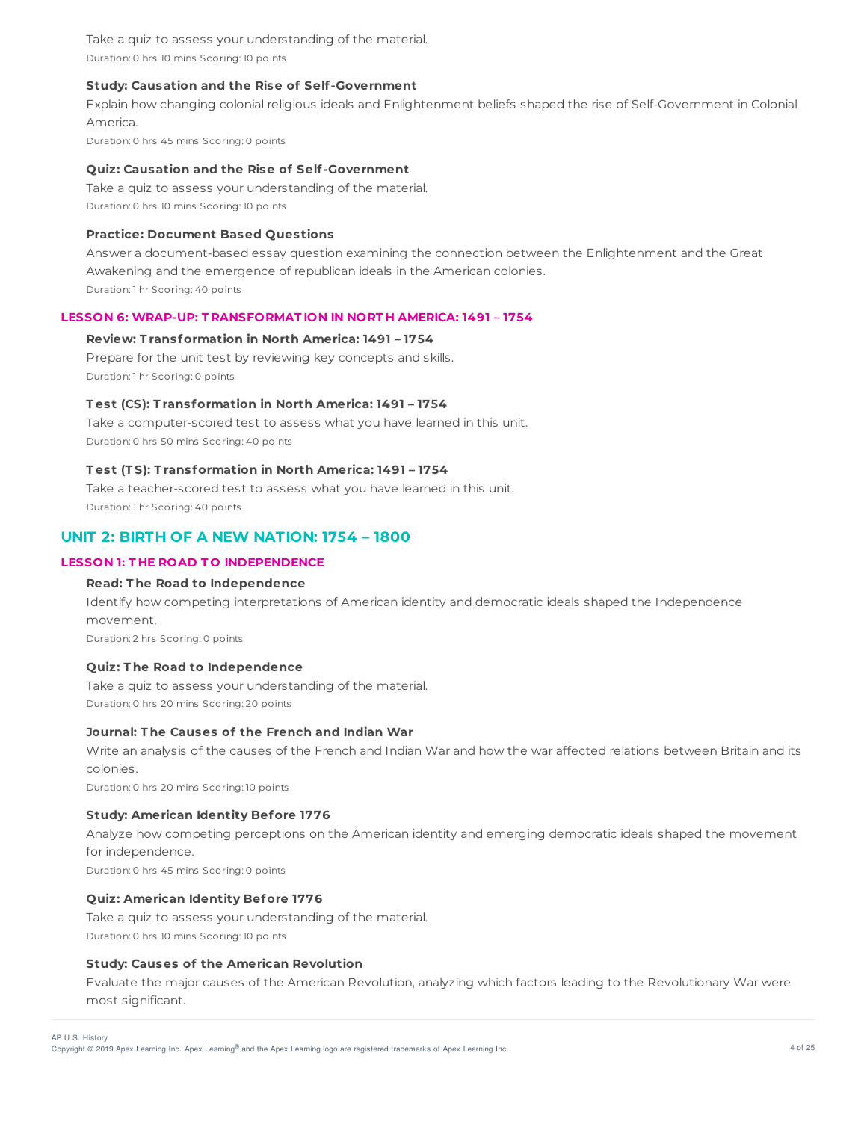Take a quiz to assess your understanding of the material. Duration: 0 hrs 10 mins Scoring: 10 points

# **Study: Causation and the Rise of Self-Government**

Explain how changing colonial religious ideals and Enlightenment beliefs shaped the rise of Self-Government in Colonial America.

Duration: 0 hrs 45 mins Scoring: 0 points

#### **Quiz: Causation and the Rise of Self-Government**

Take a quiz to assess your understanding of the material. Duration: 0 hrs 10 mins Scoring: 10 points

#### **Practice: Document Based Questions**

Answer a document-based essay question examining the connection between the Enlightenment and the Great Awakening and the emergence of republican ideals in the American colonies. Duration: 1 hr Scoring: 40 points

# **LESSON 6: WRAP-UP: T RANSFORMAT ION IN NORT H AMERICA: 1491 – 1754**

### **Review: T ransformation in North America: 1491 – 1754**

Prepare for the unit test by reviewing key concepts and skills. Duration: 1 hr Scoring: 0 points

# **T est (CS): T ransformation in North America: 1491 – 1754**

Take a computer-scored test to assess what you have learned in this unit. Duration: 0 hrs 50 mins Scoring: 40 points

#### **T est (T S): T ransformation in North America: 1491 – 1754**

Take a teacher-scored test to assess what you have learned in this unit. Duration: 1 hr Scoring: 40 points

# **UNIT 2: BIRTH OF A NEW NATION: 1754 – 1800**

# **LESSON 1: T HE ROAD T O INDEPENDENCE**

# **Read: T he Road to Independence**

Identify how competing interpretations of American identity and democratic ideals shaped the Independence movement. Duration: 2 hrs Scoring: 0 points

# **Quiz: T he Road to Independence**

Take a quiz to assess your understanding of the material. Duration: 0 hrs 20 mins Scoring: 20 points

# **Journal: T he Causes of the French and Indian War**

Write an analysis of the causes of the French and Indian War and how the war affected relations between Britain and its colonies.

Duration: 0 hrs 20 mins Scoring: 10 points

# **Study: American Identity Before 1776**

Analyze how competing perceptions on the American identity and emerging democratic ideals shaped the movement for independence. Duration: 0 hrs 45 mins Scoring: 0 points

**Quiz: American Identity Before 1776**

Take a quiz to assess your understanding of the material. Duration: 0 hrs 10 mins Scoring: 10 points

# **Study: Causes of the American Revolution**

Evaluate the major causes of the American Revolution, analyzing which factors leading to the Revolutionary War were most significant.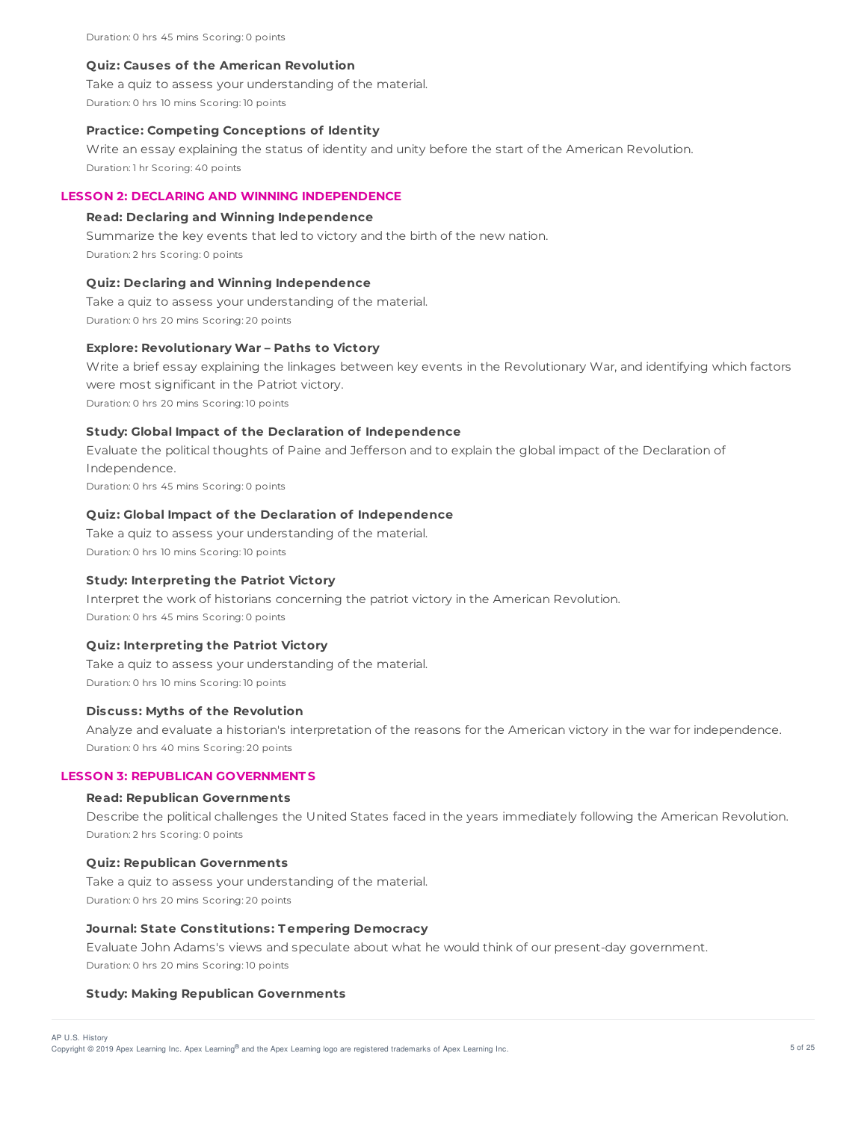Duration: 0 hrs 45 mins Scoring: 0 points

#### **Quiz: Causes of the American Revolution**

Take a quiz to assess your understanding of the material.

Duration: 0 hrs 10 mins Scoring: 10 points

#### **Practice: Competing Conceptions of Identity**

Write an essay explaining the status of identity and unity before the start of the American Revolution. Duration: 1 hr Scoring: 40 points

# **LESSON 2: DECLARING AND WINNING INDEPENDENCE**

#### **Read: Declaring and Winning Independence**

Summarize the key events that led to victory and the birth of the new nation. Duration: 2 hrs Scoring: 0 points

#### **Quiz: Declaring and Winning Independence**

Take a quiz to assess your understanding of the material. Duration: 0 hrs 20 mins Scoring: 20 points

# **Explore: Revolutionary War – Paths to Victory**

Write a brief essay explaining the linkages between key events in the Revolutionary War, and identifying which factors were most significant in the Patriot victory. Duration: 0 hrs 20 mins Scoring: 10 points

#### **Study: Global Impact of the Declaration of Independence**

Evaluate the political thoughts of Paine and Jefferson and to explain the global impact of the Declaration of Independence. Duration: 0 hrs 45 mins Scoring: 0 points

#### **Quiz: Global Impact of the Declaration of Independence**

Take a quiz to assess your understanding of the material. Duration: 0 hrs 10 mins Scoring: 10 points

#### **Study: Interpreting the Patriot Victory**

Interpret the work of historians concerning the patriot victory in the American Revolution. Duration: 0 hrs 45 mins Scoring: 0 points

#### **Quiz: Interpreting the Patriot Victory**

Take a quiz to assess your understanding of the material. Duration: 0 hrs 10 mins Scoring: 10 points

#### **Discuss: Myths of the Revolution**

Analyze and evaluate a historian's interpretation of the reasons for the American victory in the war for independence. Duration: 0 hrs 40 mins Scoring: 20 points

# **LESSON 3: REPUBLICAN GOVERNMENT S**

# **Read: Republican Governments**

Describe the political challenges the United States faced in the years immediately following the American Revolution. Duration: 2 hrs Scoring: 0 points

#### **Quiz: Republican Governments**

Take a quiz to assess your understanding of the material. Duration: 0 hrs 20 mins Scoring: 20 points

## **Journal: State Constitutions: T empering Democracy**

Evaluate John Adams's views and speculate about what he would think of our present-day government. Duration: 0 hrs 20 mins Scoring: 10 points

#### **Study: Making Republican Governments**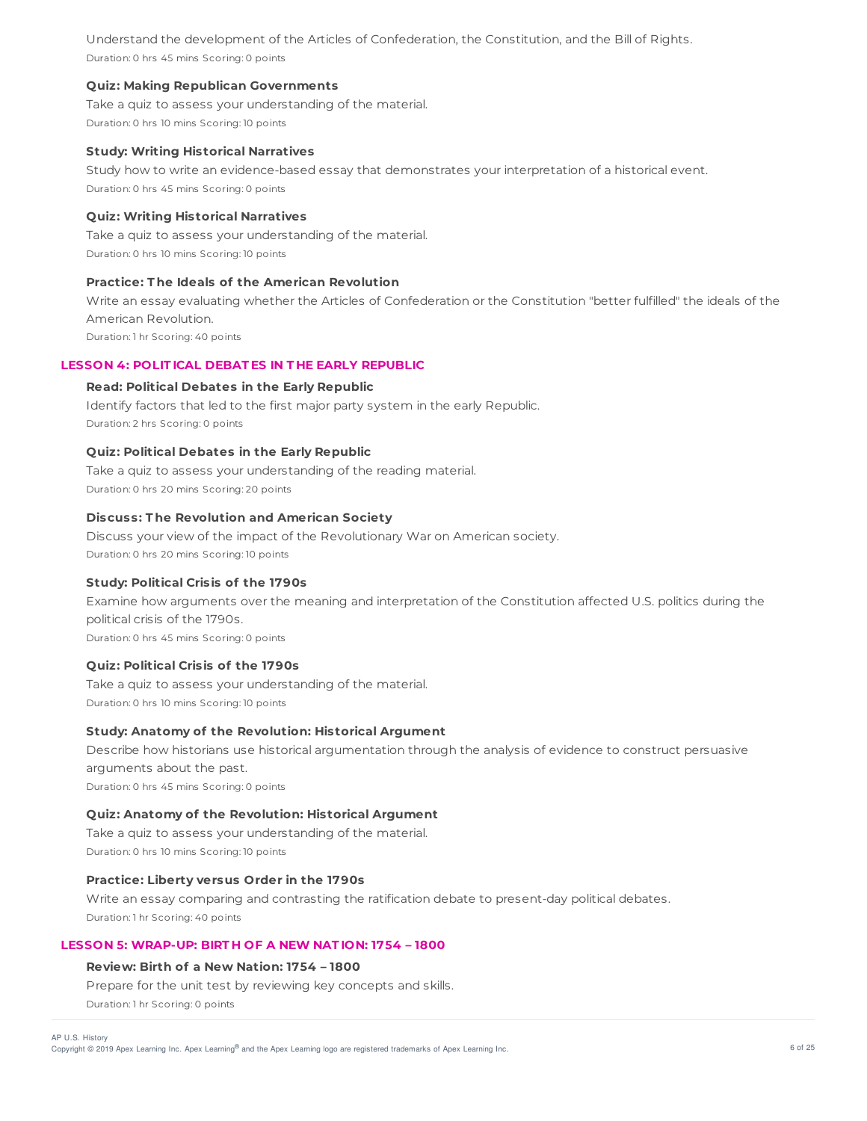Understand the development of the Articles of Confederation, the Constitution, and the Bill of Rights. Duration: 0 hrs 45 mins Scoring: 0 points

## **Quiz: Making Republican Governments**

Take a quiz to assess your understanding of the material. Duration: 0 hrs 10 mins Scoring: 10 points

#### **Study: Writing Historical Narratives**

Study how to write an evidence-based essay that demonstrates your interpretation of a historical event. Duration: 0 hrs 45 mins Scoring: 0 points

# **Quiz: Writing Historical Narratives**

Take a quiz to assess your understanding of the material. Duration: 0 hrs 10 mins Scoring: 10 points

# **Practice: T he Ideals of the American Revolution**

Write an essay evaluating whether the Articles of Confederation or the Constitution "better fulfilled" the ideals of the American Revolution.

Duration: 1 hr Scoring: 40 points

# **LESSON 4: POLIT ICAL DEBAT ES IN T HE EARLY REPUBLIC**

# **Read: Political Debates in the Early Republic**

Identify factors that led to the first major party system in the early Republic. Duration: 2 hrs Scoring: 0 points

# **Quiz: Political Debates in the Early Republic**

Take a quiz to assess your understanding of the reading material. Duration: 0 hrs 20 mins Scoring: 20 points

# **Discuss: T he Revolution and American Society**

Discuss your view of the impact of the Revolutionary War on American society. Duration: 0 hrs 20 mins Scoring: 10 points

# **Study: Political Crisis of the 1790s**

Examine how arguments over the meaning and interpretation of the Constitution affected U.S. politics during the political crisis of the 1790s.

Duration: 0 hrs 45 mins Scoring: 0 points

# **Quiz: Political Crisis of the 1790s**

Take a quiz to assess your understanding of the material. Duration: 0 hrs 10 mins Scoring: 10 points

# **Study: Anatomy of the Revolution: Historical Argument**

Describe how historians use historical argumentation through the analysis of evidence to construct persuasive arguments about the past. Duration: 0 hrs 45 mins Scoring: 0 points

#### **Quiz: Anatomy of the Revolution: Historical Argument**

Take a quiz to assess your understanding of the material. Duration: 0 hrs 10 mins Scoring: 10 points

# **Practice: Liberty versus Order in the 1790s**

Write an essay comparing and contrasting the ratification debate to present-day political debates. Duration: 1 hr Scoring: 40 points

# **LESSON 5: WRAP-UP: BIRT H OF A NEW NAT ION: 1754 – 1800**

# **Review: Birth of a New Nation: 1754 – 1800**

Prepare for the unit test by reviewing key concepts and skills. Duration: 1 hr Scoring: 0 points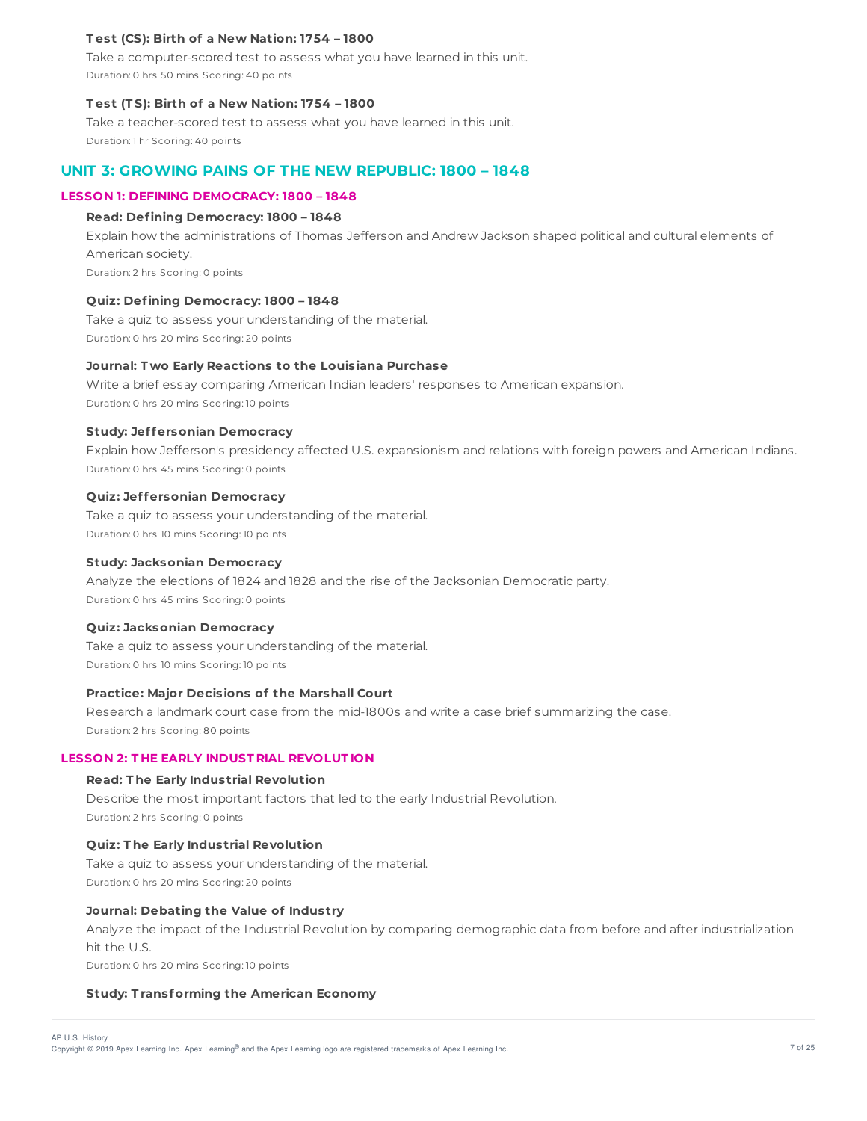# **T est (CS): Birth of a New Nation: 1754 – 1800**

Take a computer-scored test to assess what you have learned in this unit. Duration: 0 hrs 50 mins Scoring: 40 points

#### **T est (T S): Birth of a New Nation: 1754 – 1800**

Take a teacher-scored test to assess what you have learned in this unit. Duration: 1 hr Scoring: 40 points

# **UNIT 3: GROWING PAINS OF THE NEW REPUBLIC: 1800 – 1848**

# **LESSON 1: DEFINING DEMOCRACY: 1800 – 1848**

#### **Read: Defining Democracy: 1800 – 1848**

Explain how the administrations of Thomas Jefferson and Andrew Jackson shaped political and cultural elements of American society.

Duration: 2 hrs Scoring: 0 points

# **Quiz: Defining Democracy: 1800 – 1848**

Take a quiz to assess your understanding of the material. Duration: 0 hrs 20 mins Scoring: 20 points

# **Journal: T wo Early Reactions to the Louisiana Purchase**

Write a brief essay comparing American Indian leaders' responses to American expansion. Duration: 0 hrs 20 mins Scoring: 10 points

#### **Study: Jeffersonian Democracy**

Explain how Jefferson's presidency affected U.S. expansionism and relations with foreign powers and American Indians. Duration: 0 hrs 45 mins Scoring: 0 points

# **Quiz: Jeffersonian Democracy**

Take a quiz to assess your understanding of the material. Duration: 0 hrs 10 mins Scoring: 10 points

#### **Study: Jacksonian Democracy**

Analyze the elections of 1824 and 1828 and the rise of the Jacksonian Democratic party. Duration: 0 hrs 45 mins Scoring: 0 points

#### **Quiz: Jacksonian Democracy**

Take a quiz to assess your understanding of the material. Duration: 0 hrs 10 mins Scoring: 10 points

# **Practice: Major Decisions of the Marshall Court**

Research a landmark court case from the mid-1800s and write a case brief summarizing the case. Duration: 2 hrs Scoring: 80 points

#### **LESSON 2: T HE EARLY INDUST RIAL REVOLUT ION**

#### **Read: T he Early Industrial Revolution**

Describe the most important factors that led to the early Industrial Revolution. Duration: 2 hrs Scoring: 0 points

# **Quiz: T he Early Industrial Revolution**

Take a quiz to assess your understanding of the material. Duration: 0 hrs 20 mins Scoring: 20 points

## **Journal: Debating the Value of Industry**

Analyze the impact of the Industrial Revolution by comparing demographic data from before and after industrialization hit the U.S.

Duration: 0 hrs 20 mins Scoring: 10 points

#### **Study: T ransforming the American Economy**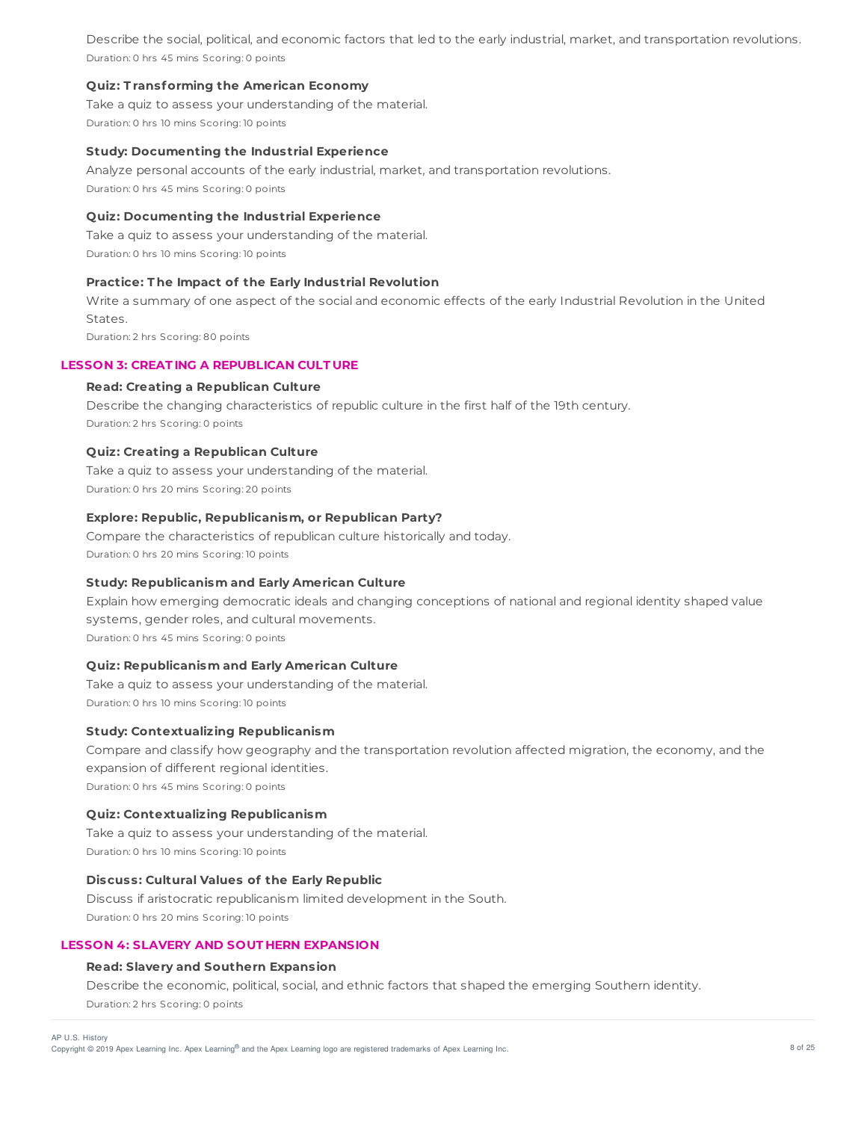Describe the social, political, and economic factors that led to the early industrial, market, and transportation revolutions. Duration: 0 hrs 45 mins Scoring: 0 points

# **Quiz: T ransforming the American Economy**

Take a quiz to assess your understanding of the material. Duration: 0 hrs 10 mins Scoring: 10 points

# **Study: Documenting the Industrial Experience**

Analyze personal accounts of the early industrial, market, and transportation revolutions. Duration: 0 hrs 45 mins Scoring: 0 points

# **Quiz: Documenting the Industrial Experience**

Take a quiz to assess your understanding of the material. Duration: 0 hrs 10 mins Scoring: 10 points

# **Practice: T he Impact of the Early Industrial Revolution**

Write a summary of one aspect of the social and economic effects of the early Industrial Revolution in the United States.

Duration: 2 hrs Scoring: 80 points

# **LESSON 3: CREAT ING A REPUBLICAN CULT URE**

#### **Read: Creating a Republican Culture**

Describe the changing characteristics of republic culture in the first half of the 19th century. Duration: 2 hrs Scoring: 0 points

# **Quiz: Creating a Republican Culture**

Take a quiz to assess your understanding of the material. Duration: 0 hrs 20 mins Scoring: 20 points

# **Explore: Republic, Republicanism, or Republican Party?**

Compare the characteristics of republican culture historically and today. Duration: 0 hrs 20 mins Scoring: 10 points

# **Study: Republicanism and Early American Culture**

Explain how emerging democratic ideals and changing conceptions of national and regional identity shaped value systems, gender roles, and cultural movements. Duration: 0 hrs 45 mins Scoring: 0 points

# **Quiz: Republicanism and Early American Culture**

Take a quiz to assess your understanding of the material. Duration: 0 hrs 10 mins Scoring: 10 points

#### **Study: Contextualizing Republicanism**

Compare and classify how geography and the transportation revolution affected migration, the economy, and the expansion of different regional identities.

Duration: 0 hrs 45 mins Scoring: 0 points

# **Quiz: Contextualizing Republicanism**

Take a quiz to assess your understanding of the material. Duration: 0 hrs 10 mins Scoring: 10 points

# **Discuss: Cultural Values of the Early Republic**

Discuss if aristocratic republicanism limited development in the South. Duration: 0 hrs 20 mins Scoring: 10 points

## **LESSON 4: SLAVERY AND SOUT HERN EXPANSION**

#### **Read: Slavery and Southern Expansion**

Describe the economic, political, social, and ethnic factors that shaped the emerging Southern identity. Duration: 2 hrs Scoring: 0 points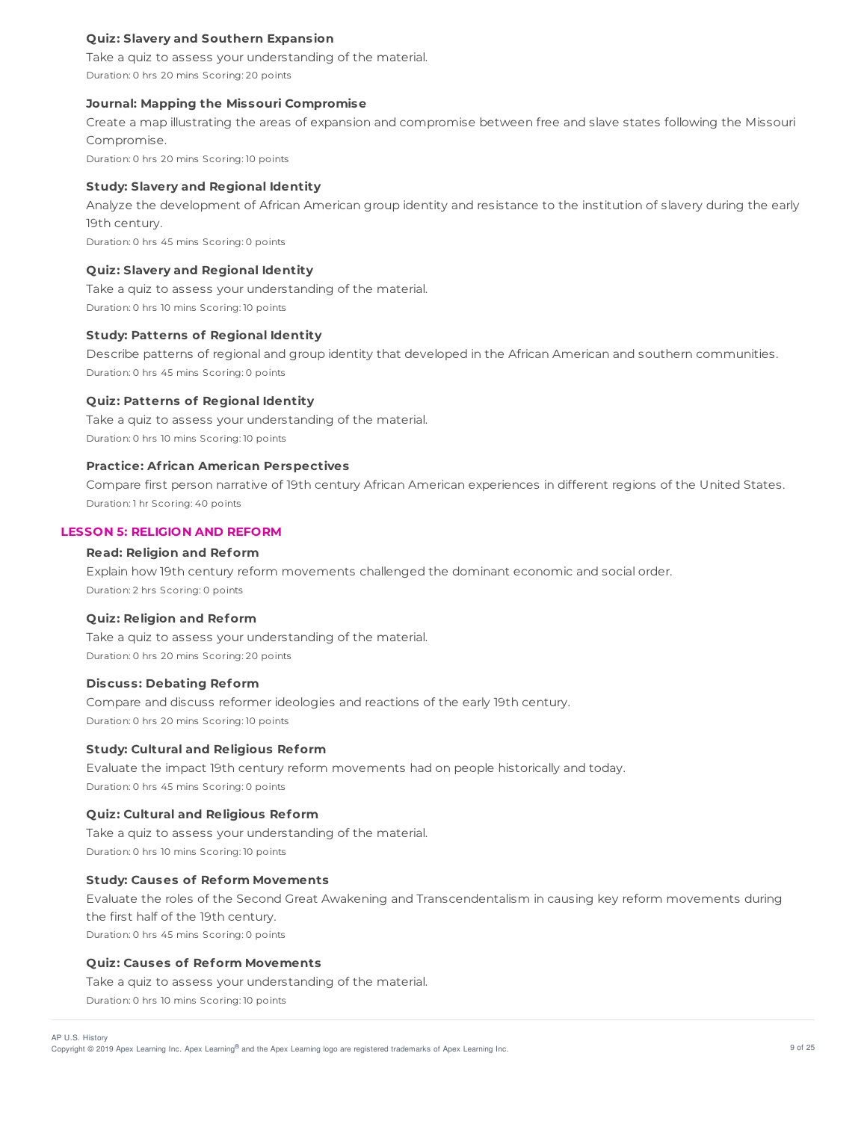# **Quiz: Slavery and Southern Expansion**

Take a quiz to assess your understanding of the material. Duration: 0 hrs 20 mins Scoring: 20 points

#### **Journal: Mapping the Missouri Compromise**

Create a map illustrating the areas of expansion and compromise between free and slave states following the Missouri Compromise.

Duration: 0 hrs 20 mins Scoring: 10 points

# **Study: Slavery and Regional Identity**

Analyze the development of African American group identity and resistance to the institution of slavery during the early 19th century. Duration: 0 hrs 45 mins Scoring: 0 points

## **Quiz: Slavery and Regional Identity**

Take a quiz to assess your understanding of the material. Duration: 0 hrs 10 mins Scoring: 10 points

#### **Study: Patterns of Regional Identity**

Describe patterns of regional and group identity that developed in the African American and southern communities. Duration: 0 hrs 45 mins Scoring: 0 points

#### **Quiz: Patterns of Regional Identity**

Take a quiz to assess your understanding of the material. Duration: 0 hrs 10 mins Scoring: 10 points

# **Practice: Af rican American Perspectives**

Compare first person narrative of 19th century African American experiences in different regions of the United States. Duration: 1 hr Scoring: 40 points

#### **LESSON 5: RELIGION AND REFORM**

# **Read: Religion and Reform**

Explain how 19th century reform movements challenged the dominant economic and social order. Duration: 2 hrs Scoring: 0 points

#### **Quiz: Religion and Reform**

Take a quiz to assess your understanding of the material. Duration: 0 hrs 20 mins Scoring: 20 points

## **Discuss: Debating Reform**

Compare and discuss reformer ideologies and reactions of the early 19th century. Duration: 0 hrs 20 mins Scoring: 10 points

# **Study: Cultural and Religious Reform**

Evaluate the impact 19th century reform movements had on people historically and today. Duration: 0 hrs 45 mins Scoring: 0 points

#### **Quiz: Cultural and Religious Reform**

Take a quiz to assess your understanding of the material. Duration: 0 hrs 10 mins Scoring: 10 points

# **Study: Causes of Reform Movements**

Evaluate the roles of the Second Great Awakening and Transcendentalism in causing key reform movements during the first half of the 19th century. Duration: 0 hrs 45 mins Scoring: 0 points

# **Quiz: Causes of Reform Movements**

Take a quiz to assess your understanding of the material.

Duration: 0 hrs 10 mins Scoring: 10 points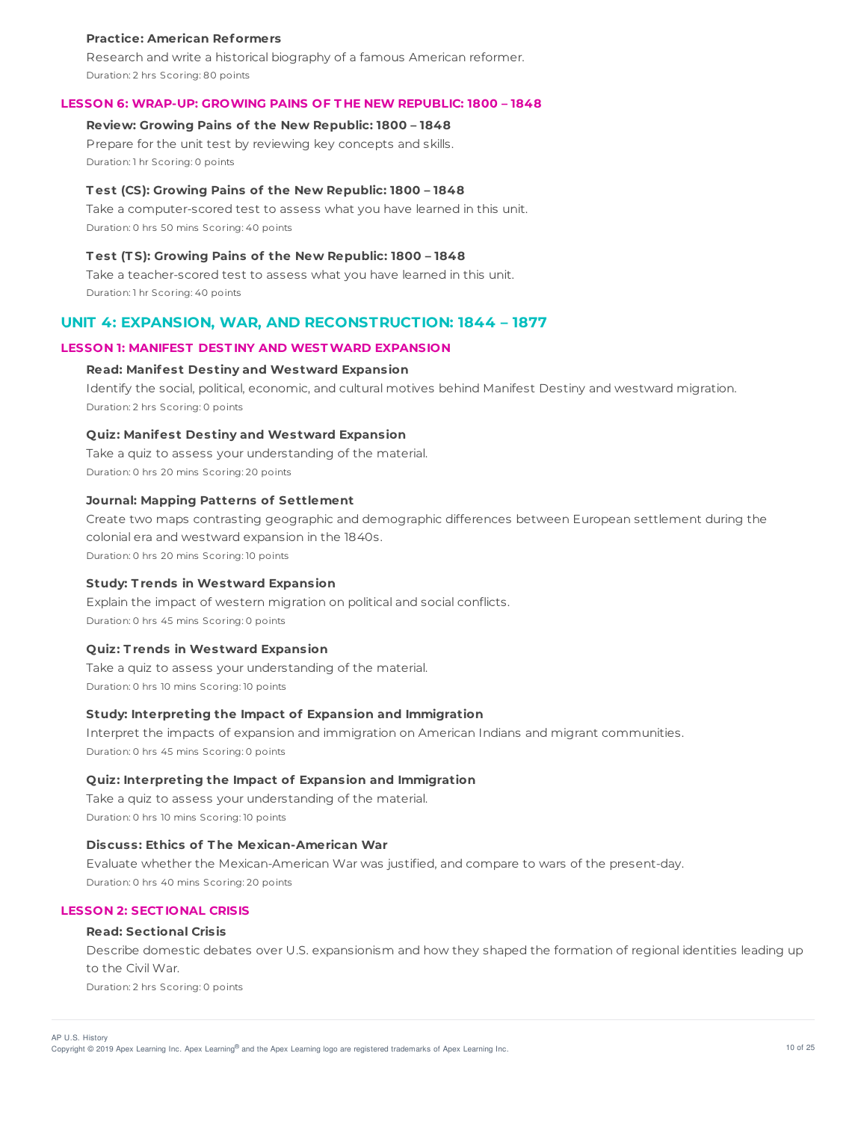#### **Practice: American Reformers**

Research and write a historical biography of a famous American reformer. Duration: 2 hrs Scoring: 80 points

#### **LESSON 6: WRAP-UP: GROWING PAINS OF T HE NEW REPUBLIC: 1800 – 1848**

# **Review: Growing Pains of the New Republic: 1800 – 1848**

Prepare for the unit test by reviewing key concepts and skills. Duration: 1 hr Scoring: 0 points

#### **T est (CS): Growing Pains of the New Republic: 1800 – 1848**

Take a computer-scored test to assess what you have learned in this unit. Duration: 0 hrs 50 mins Scoring: 40 points

# **T est (T S): Growing Pains of the New Republic: 1800 – 1848**

Take a teacher-scored test to assess what you have learned in this unit. Duration: 1 hr Scoring: 40 points

# **UNIT 4: EXPANSION, WAR, AND RECONSTRUCTION: 1844 – 1877**

#### **LESSON 1: MANIFEST DEST INY AND WESTWARD EXPANSION**

#### **Read: Manifest Destiny and Westward Expansion**

Identify the social, political, economic, and cultural motives behind Manifest Destiny and westward migration. Duration: 2 hrs Scoring: 0 points

# **Quiz: Manifest Destiny and Westward Expansion**

Take a quiz to assess your understanding of the material. Duration: 0 hrs 20 mins Scoring: 20 points

#### **Journal: Mapping Patterns of Settlement**

Create two maps contrasting geographic and demographic differences between European settlement during the colonial era and westward expansion in the 1840s.

Duration: 0 hrs 20 mins Scoring: 10 points

# **Study: T rends in Westward Expansion**

Explain the impact of western migration on political and social conflicts. Duration: 0 hrs 45 mins Scoring: 0 points

#### **Quiz: T rends in Westward Expansion**

Take a quiz to assess your understanding of the material. Duration: 0 hrs 10 mins Scoring: 10 points

#### **Study: Interpreting the Impact of Expansion and Immigration**

Interpret the impacts of expansion and immigration on American Indians and migrant communities. Duration: 0 hrs 45 mins Scoring: 0 points

# **Quiz: Interpreting the Impact of Expansion and Immigration**

Take a quiz to assess your understanding of the material. Duration: 0 hrs 10 mins Scoring: 10 points

# **Discuss: Ethics of T he Mexican-American War**

Evaluate whether the Mexican-American War was justified, and compare to wars of the present-day. Duration: 0 hrs 40 mins Scoring: 20 points

# **LESSON 2: SECT IONAL CRISIS**

# **Read: Sectional Crisis**

Describe domestic debates over U.S. expansionism and how they shaped the formation of regional identities leading up to the Civil War.

Duration: 2 hrs Scoring: 0 points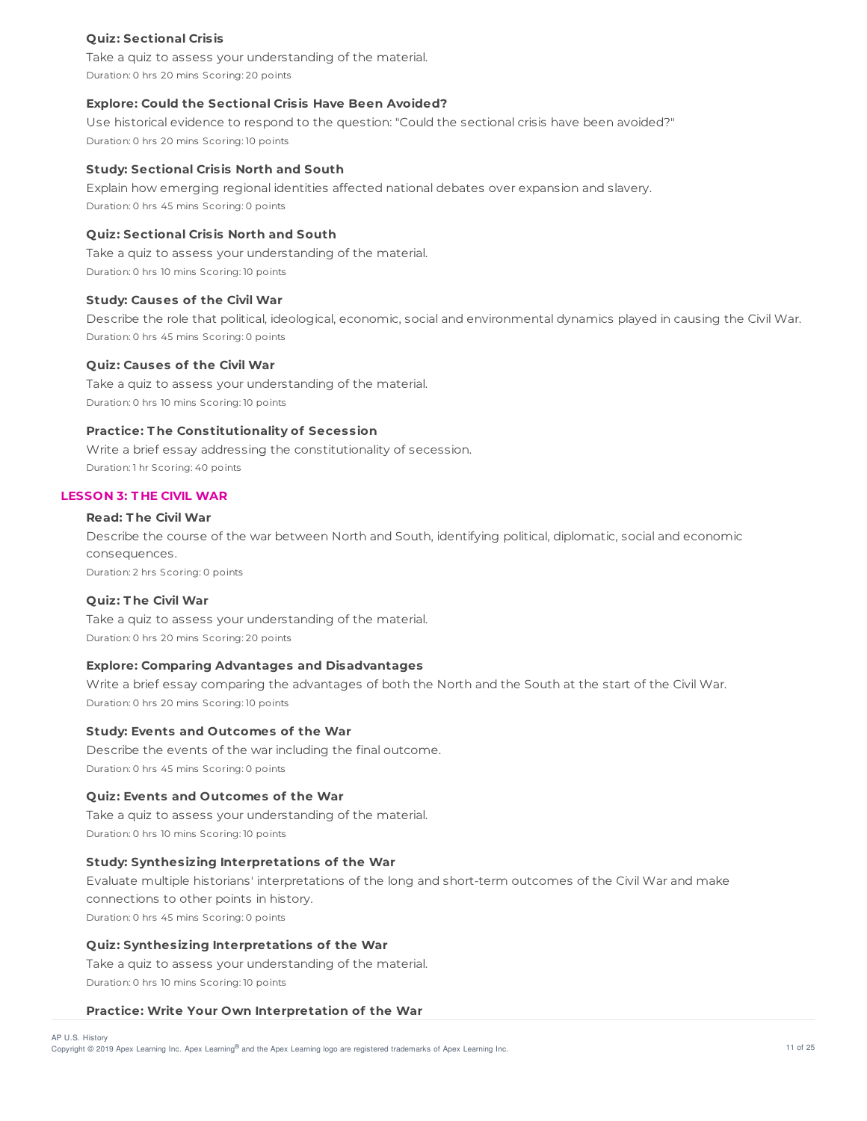# **Quiz: Sectional Crisis**

Take a quiz to assess your understanding of the material. Duration: 0 hrs 20 mins Scoring: 20 points

## **Explore: Could the Sectional Crisis Have Been Avoided?**

Use historical evidence to respond to the question: "Could the sectional crisis have been avoided?" Duration: 0 hrs 20 mins Scoring: 10 points

#### **Study: Sectional Crisis North and South**

Explain how emerging regional identities affected national debates over expansion and slavery. Duration: 0 hrs 45 mins Scoring: 0 points

# **Quiz: Sectional Crisis North and South**

Take a quiz to assess your understanding of the material. Duration: 0 hrs 10 mins Scoring: 10 points

#### **Study: Causes of the Civil War**

Describe the role that political, ideological, economic, social and environmental dynamics played in causing the Civil War. Duration: 0 hrs 45 mins Scoring: 0 points

#### **Quiz: Causes of the Civil War**

Take a quiz to assess your understanding of the material. Duration: 0 hrs 10 mins Scoring: 10 points

# **Practice: T he Constitutionality of Secession**

Write a brief essay addressing the constitutionality of secession. Duration: 1 hr Scoring: 40 points

# **LESSON 3: T HE CIVIL WAR**

# **Read: T he Civil War**

Describe the course of the war between North and South, identifying political, diplomatic, social and economic consequences. Duration: 2 hrs Scoring: 0 points

#### **Quiz: T he Civil War**

Take a quiz to assess your understanding of the material. Duration: 0 hrs 20 mins Scoring: 20 points

## **Explore: Comparing Advantages and Disadvantages**

Write a brief essay comparing the advantages of both the North and the South at the start of the Civil War. Duration: 0 hrs 20 mins Scoring: 10 points

#### **Study: Events and Outcomes of the War**

Describe the events of the war including the final outcome. Duration: 0 hrs 45 mins Scoring: 0 points

# **Quiz: Events and Outcomes of the War**

Take a quiz to assess your understanding of the material. Duration: 0 hrs 10 mins Scoring: 10 points

# **Study: Synthesizing Interpretations of the War**

Evaluate multiple historians' interpretations of the long and short-term outcomes of the Civil War and make connections to other points in history. Duration: 0 hrs 45 mins Scoring: 0 points

#### **Quiz: Synthesizing Interpretations of the War**

Take a quiz to assess your understanding of the material. Duration: 0 hrs 10 mins Scoring: 10 points

#### **Practice: Write Your Own Interpretation of the War**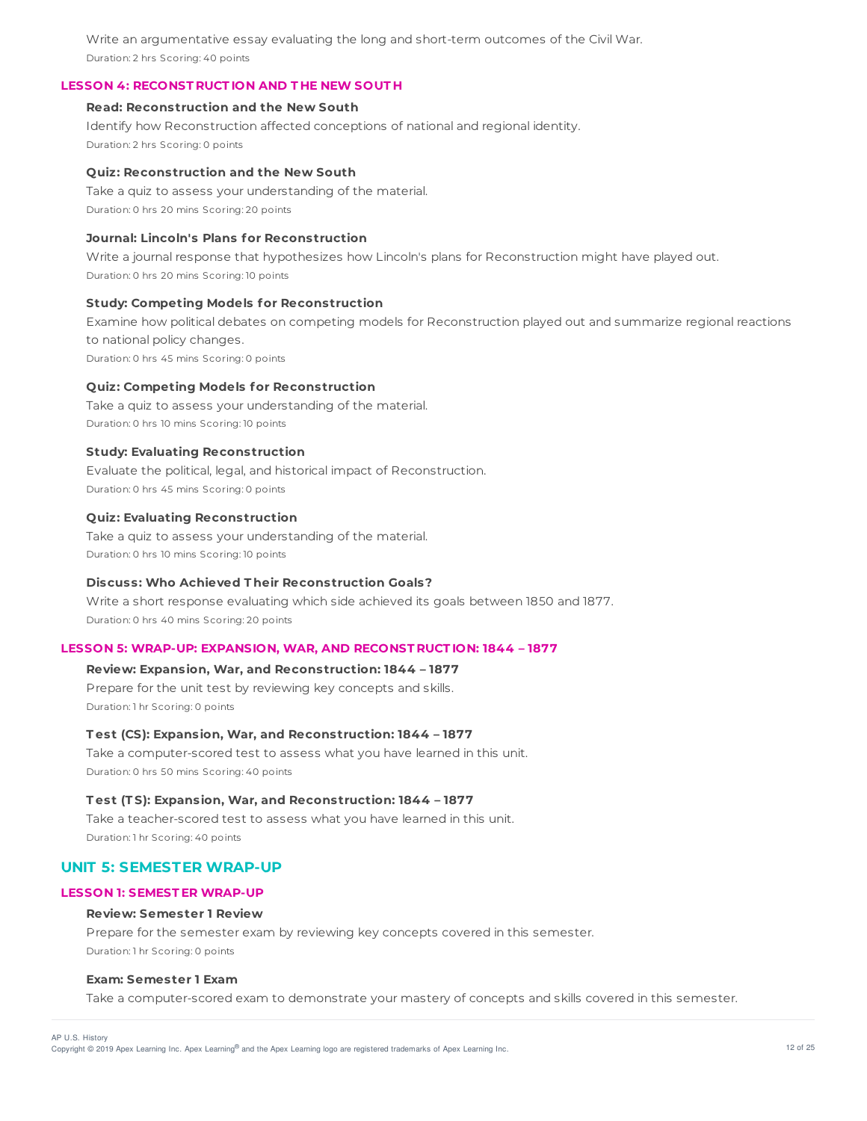Write an argumentative essay evaluating the long and short-term outcomes of the Civil War. Duration: 2 hrs Scoring: 40 points

# **LESSON 4: RECONST RUCT ION AND T HE NEW SOUT H**

# **Read: Reconstruction and the New South**

Identify how Reconstruction affected conceptions of national and regional identity. Duration: 2 hrs Scoring: 0 points

## **Quiz: Reconstruction and the New South**

Take a quiz to assess your understanding of the material. Duration: 0 hrs 20 mins Scoring: 20 points

# **Journal: Lincoln's Plans for Reconstruction**

Write a journal response that hypothesizes how Lincoln's plans for Reconstruction might have played out. Duration: 0 hrs 20 mins Scoring: 10 points

# **Study: Competing Models for Reconstruction**

Examine how political debates on competing models for Reconstruction played out and summarize regional reactions to national policy changes. Duration: 0 hrs 45 mins Scoring: 0 points

# **Quiz: Competing Models for Reconstruction**

Take a quiz to assess your understanding of the material. Duration: 0 hrs 10 mins Scoring: 10 points

# **Study: Evaluating Reconstruction**

Evaluate the political, legal, and historical impact of Reconstruction. Duration: 0 hrs 45 mins Scoring: 0 points

# **Quiz: Evaluating Reconstruction**

Take a quiz to assess your understanding of the material. Duration: 0 hrs 10 mins Scoring: 10 points

# **Discuss: Who Achieved T heir Reconstruction Goals?**

Write a short response evaluating which side achieved its goals between 1850 and 1877. Duration: 0 hrs 40 mins Scoring: 20 points

# **LESSON 5: WRAP-UP: EXPANSION, WAR, AND RECONST RUCT ION: 1844 – 1877**

# **Review: Expansion, War, and Reconstruction: 1844 – 1877**

Prepare for the unit test by reviewing key concepts and skills. Duration: 1 hr Scoring: 0 points

#### **T est (CS): Expansion, War, and Reconstruction: 1844 – 1877**

Take a computer-scored test to assess what you have learned in this unit. Duration: 0 hrs 50 mins Scoring: 40 points

# **T est (T S): Expansion, War, and Reconstruction: 1844 – 1877**

Take a teacher-scored test to assess what you have learned in this unit. Duration: 1 hr Scoring: 40 points

# **UNIT 5: SEMESTER WRAP-UP**

# **LESSON 1: SEMEST ER WRAP-UP**

# **Review: Semester 1 Review**

Prepare for the semester exam by reviewing key concepts covered in this semester. Duration: 1 hr Scoring: 0 points

## **Exam: Semester 1 Exam**

Take a computer-scored exam to demonstrate your mastery of concepts and skills covered in this semester.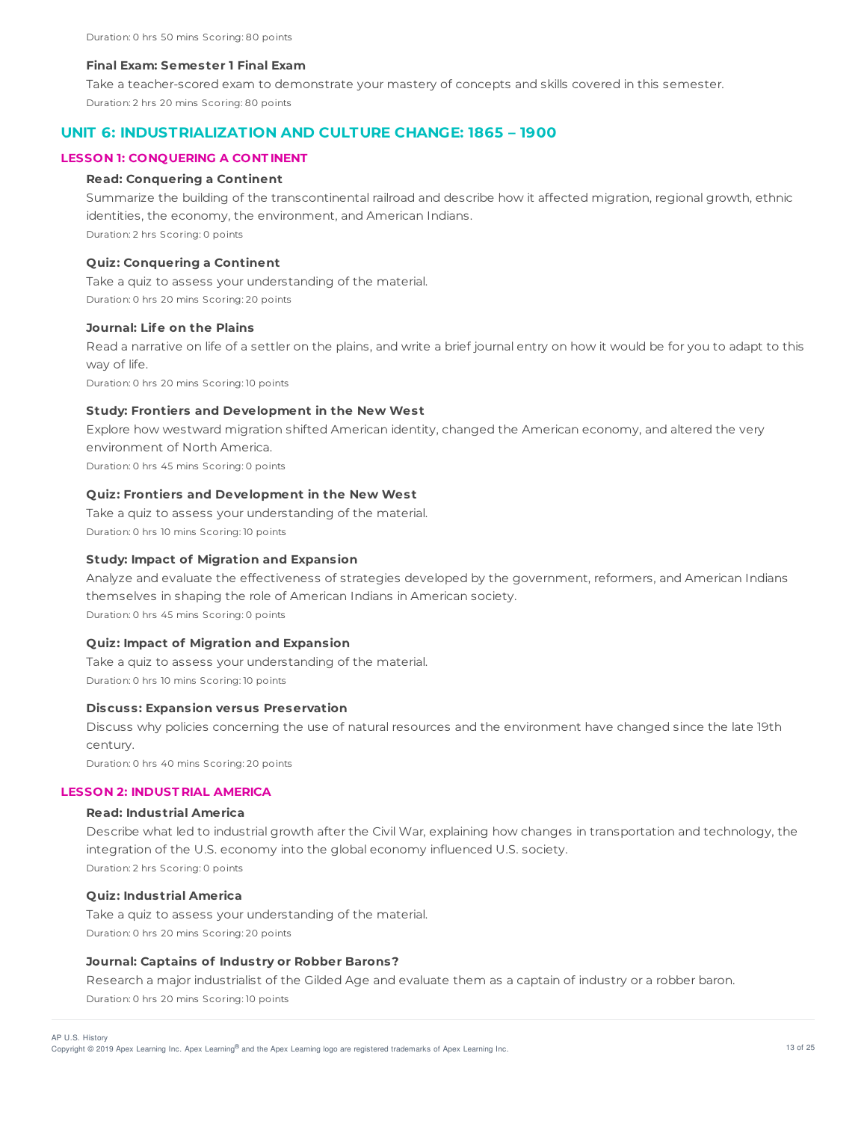#### **Final Exam: Semester 1 Final Exam**

Take a teacher-scored exam to demonstrate your mastery of concepts and skills covered in this semester. Duration: 2 hrs 20 mins Scoring: 80 points

# **UNIT 6: INDUSTRIALIZATION AND CULTURE CHANGE: 1865 – 1900**

# **LESSON 1: CONQUERING A CONT INENT**

# **Read: Conquering a Continent**

Summarize the building of the transcontinental railroad and describe how it affected migration, regional growth, ethnic identities, the economy, the environment, and American Indians. Duration: 2 hrs Scoring: 0 points

## **Quiz: Conquering a Continent**

Take a quiz to assess your understanding of the material. Duration: 0 hrs 20 mins Scoring: 20 points

#### **Journal: Life on the Plains**

Read a narrative on life of a settler on the plains, and write a brief journal entry on how it would be for you to adapt to this way of life.

Duration: 0 hrs 20 mins Scoring: 10 points

## **Study: Frontiers and Development in the New West**

Explore how westward migration shifted American identity, changed the American economy, and altered the very environment of North America.

Duration: 0 hrs 45 mins Scoring: 0 points

# **Quiz: Frontiers and Development in the New West**

Take a quiz to assess your understanding of the material. Duration: 0 hrs 10 mins Scoring: 10 points

#### **Study: Impact of Migration and Expansion**

Analyze and evaluate the effectiveness of strategies developed by the government, reformers, and American Indians themselves in shaping the role of American Indians in American society. Duration: 0 hrs 45 mins Scoring: 0 points

# **Quiz: Impact of Migration and Expansion**

Take a quiz to assess your understanding of the material. Duration: 0 hrs 10 mins Scoring: 10 points

#### **Discuss: Expansion versus Preservation**

Discuss why policies concerning the use of natural resources and the environment have changed since the late 19th century. Duration: 0 hrs 40 mins Scoring: 20 points

# **LESSON 2: INDUST RIAL AMERICA**

# **Read: Industrial America**

Describe what led to industrial growth after the Civil War, explaining how changes in transportation and technology, the integration of the U.S. economy into the global economy influenced U.S. society. Duration: 2 hrs Scoring: 0 points

#### **Quiz: Industrial America**

Take a quiz to assess your understanding of the material. Duration: 0 hrs 20 mins Scoring: 20 points

# **Journal: Captains of Industry or Robber Barons?**

Research a major industrialist of the Gilded Age and evaluate them as a captain of industry or a robber baron. Duration: 0 hrs 20 mins Scoring: 10 points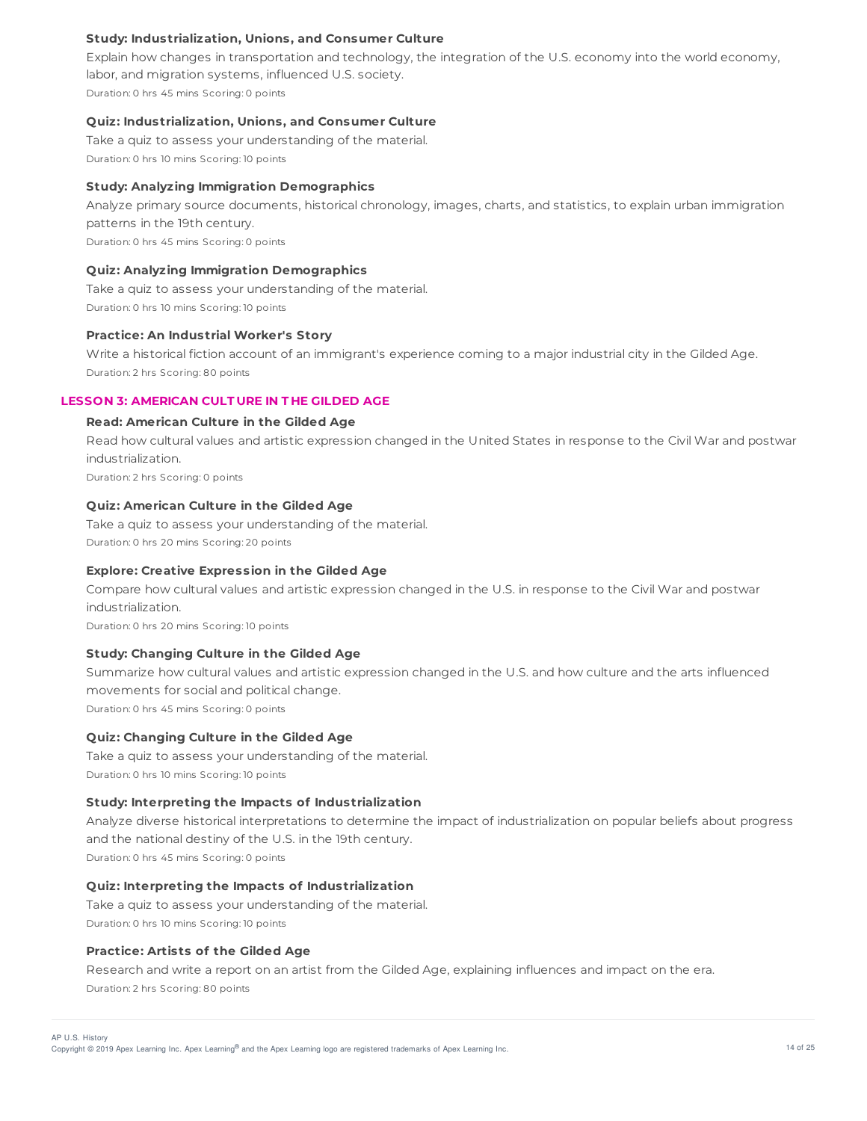# **Study: Industrialization, Unions, and Consumer Culture**

Explain how changes in transportation and technology, the integration of the U.S. economy into the world economy, labor, and migration systems, influenced U.S. society. Duration: 0 hrs 45 mins Scoring: 0 points

#### **Quiz: Industrialization, Unions, and Consumer Culture**

Take a quiz to assess your understanding of the material. Duration: 0 hrs 10 mins Scoring: 10 points

# **Study: Analyzing Immigration Demographics**

Analyze primary source documents, historical chronology, images, charts, and statistics, to explain urban immigration patterns in the 19th century. Duration: 0 hrs 45 mins Scoring: 0 points

# **Quiz: Analyzing Immigration Demographics**

Take a quiz to assess your understanding of the material. Duration: 0 hrs 10 mins Scoring: 10 points

#### **Practice: An Industrial Worker's Story**

Write a historical fiction account of an immigrant's experience coming to a major industrial city in the Gilded Age. Duration: 2 hrs Scoring: 80 points

# **LESSON 3: AMERICAN CULT URE IN T HE GILDED AGE**

# **Read: American Culture in the Gilded Age**

Read how cultural values and artistic expression changed in the United States in response to the Civil War and postwar industrialization.

Duration: 2 hrs Scoring: 0 points

# **Quiz: American Culture in the Gilded Age**

Take a quiz to assess your understanding of the material. Duration: 0 hrs 20 mins Scoring: 20 points

#### **Explore: Creative Expression in the Gilded Age**

Compare how cultural values and artistic expression changed in the U.S. in response to the Civil War and postwar industrialization.

Duration: 0 hrs 20 mins Scoring: 10 points

# **Study: Changing Culture in the Gilded Age**

Summarize how cultural values and artistic expression changed in the U.S. and how culture and the arts influenced movements for social and political change. Duration: 0 hrs 45 mins Scoring: 0 points

# **Quiz: Changing Culture in the Gilded Age**

Take a quiz to assess your understanding of the material. Duration: 0 hrs 10 mins Scoring: 10 points

#### **Study: Interpreting the Impacts of Industrialization**

Analyze diverse historical interpretations to determine the impact of industrialization on popular beliefs about progress and the national destiny of the U.S. in the 19th century.

Duration: 0 hrs 45 mins Scoring: 0 points

# **Quiz: Interpreting the Impacts of Industrialization**

Take a quiz to assess your understanding of the material. Duration: 0 hrs 10 mins Scoring: 10 points

#### **Practice: Artists of the Gilded Age**

Research and write a report on an artist from the Gilded Age, explaining influences and impact on the era. Duration: 2 hrs Scoring: 80 points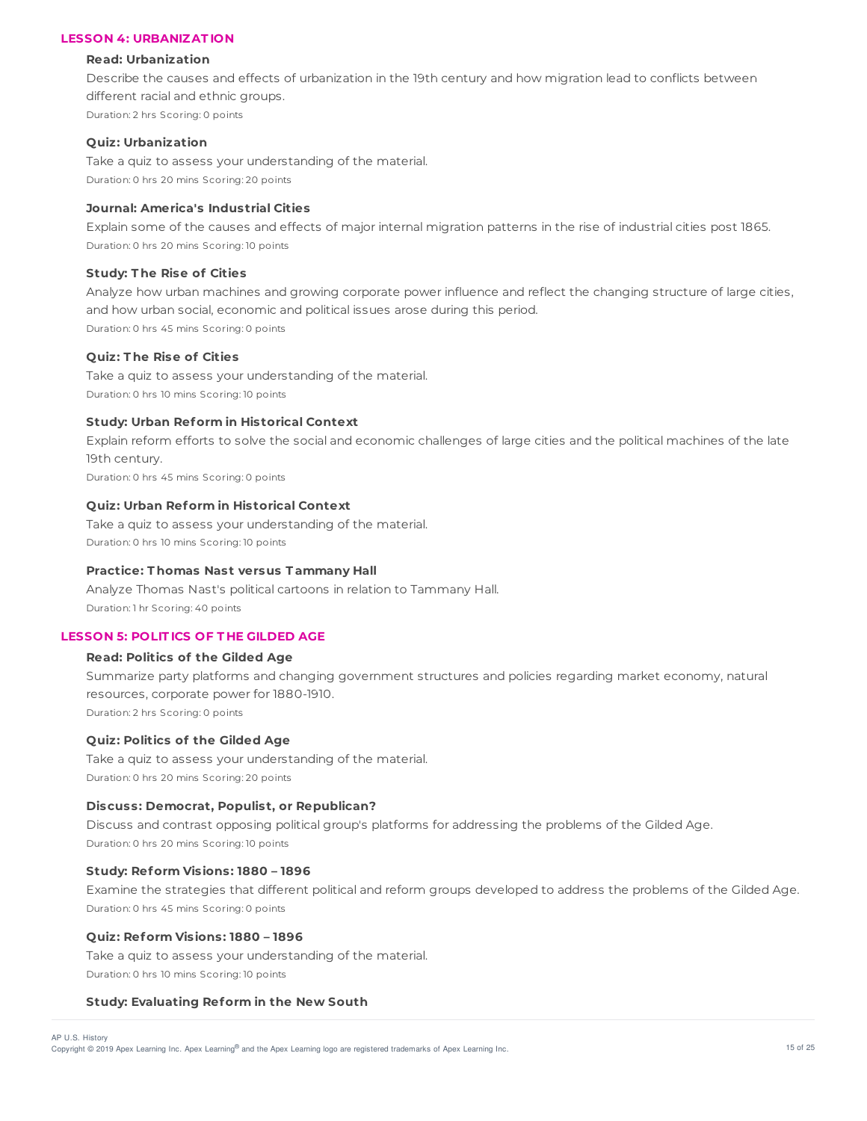## **LESSON 4: URBANIZAT ION**

#### **Read: Urbanization**

Describe the causes and effects of urbanization in the 19th century and how migration lead to conflicts between different racial and ethnic groups. Duration: 2 hrs Scoring: 0 points

#### **Quiz: Urbanization**

Take a quiz to assess your understanding of the material. Duration: 0 hrs 20 mins Scoring: 20 points

# **Journal: America's Industrial Cities**

Explain some of the causes and effects of major internal migration patterns in the rise of industrial cities post 1865. Duration: 0 hrs 20 mins Scoring: 10 points

# **Study: T he Rise of Cities**

Analyze how urban machines and growing corporate power influence and reflect the changing structure of large cities, and how urban social, economic and political issues arose during this period. Duration: 0 hrs 45 mins Scoring: 0 points

# **Quiz: T he Rise of Cities**

Take a quiz to assess your understanding of the material. Duration: 0 hrs 10 mins Scoring: 10 points

## **Study: Urban Reform in Historical Context**

Explain reform efforts to solve the social and economic challenges of large cities and the political machines of the late 19th century.

Duration: 0 hrs 45 mins Scoring: 0 points

### **Quiz: Urban Reform in Historical Context**

Take a quiz to assess your understanding of the material. Duration: 0 hrs 10 mins Scoring: 10 points

#### **Practice: T homas Nast versus T ammany Hall**

Analyze Thomas Nast's political cartoons in relation to Tammany Hall. Duration: 1 hr Scoring: 40 points

# **LESSON 5: POLIT ICS OF T HE GILDED AGE**

# **Read: Politics of the Gilded Age**

Summarize party platforms and changing government structures and policies regarding market economy, natural resources, corporate power for 1880-1910. Duration: 2 hrs Scoring: 0 points

#### **Quiz: Politics of the Gilded Age**

Take a quiz to assess your understanding of the material. Duration: 0 hrs 20 mins Scoring: 20 points

#### **Discuss: Democrat, Populist, or Republican?**

Discuss and contrast opposing political group's platforms for addressing the problems of the Gilded Age. Duration: 0 hrs 20 mins Scoring: 10 points

#### **Study: Reform Visions: 1880 – 1896**

Examine the strategies that different political and reform groups developed to address the problems of the Gilded Age. Duration: 0 hrs 45 mins Scoring: 0 points

#### **Quiz: Reform Visions: 1880 – 1896**

Take a quiz to assess your understanding of the material. Duration: 0 hrs 10 mins Scoring: 10 points

#### **Study: Evaluating Reform in the New South**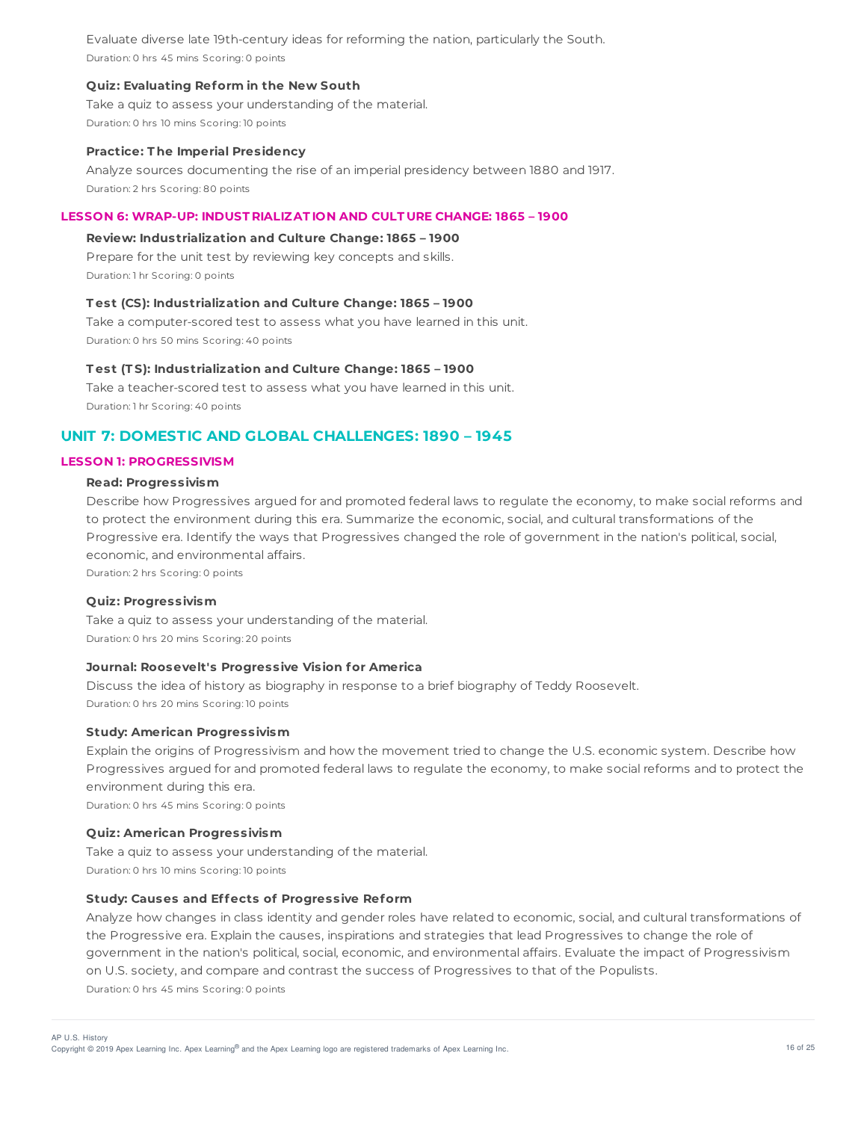Evaluate diverse late 19th-century ideas for reforming the nation, particularly the South. Duration: 0 hrs 45 mins Scoring: 0 points

# **Quiz: Evaluating Reform in the New South**

Take a quiz to assess your understanding of the material. Duration: 0 hrs 10 mins Scoring: 10 points

#### **Practice: T he Imperial Presidency**

Analyze sources documenting the rise of an imperial presidency between 1880 and 1917. Duration: 2 hrs Scoring: 80 points

## **LESSON 6: WRAP-UP: INDUST RIALIZAT ION AND CULT URE CHANGE: 1865 – 1900**

# **Review: Industrialization and Culture Change: 1865 – 1900**

Prepare for the unit test by reviewing key concepts and skills. Duration: 1 hr Scoring: 0 points

# **T est (CS): Industrialization and Culture Change: 1865 – 1900**

Take a computer-scored test to assess what you have learned in this unit. Duration: 0 hrs 50 mins Scoring: 40 points

#### **T est (T S): Industrialization and Culture Change: 1865 – 1900**

Take a teacher-scored test to assess what you have learned in this unit. Duration: 1 hr Scoring: 40 points

# **UNIT 7: DOMESTIC AND GLOBAL CHALLENGES: 1890 – 1945**

# **LESSON 1: PROGRESSIVISM**

# **Read: Progressivism**

Describe how Progressives argued for and promoted federal laws to regulate the economy, to make social reforms and to protect the environment during this era. Summarize the economic, social, and cultural transformations of the Progressive era. Identify the ways that Progressives changed the role of government in the nation's political, social, economic, and environmental affairs.

Duration: 2 hrs Scoring: 0 points

#### **Quiz: Progressivism**

Take a quiz to assess your understanding of the material. Duration: 0 hrs 20 mins Scoring: 20 points

#### **Journal: Roosevelt's Progressive Vision for America**

Discuss the idea of history as biography in response to a brief biography of Teddy Roosevelt. Duration: 0 hrs 20 mins Scoring: 10 points

#### **Study: American Progressivism**

Explain the origins of Progressivism and how the movement tried to change the U.S. economic system. Describe how Progressives argued for and promoted federal laws to regulate the economy, to make social reforms and to protect the environment during this era.

Duration: 0 hrs 45 mins Scoring: 0 points

# **Quiz: American Progressivism**

Take a quiz to assess your understanding of the material. Duration: 0 hrs 10 mins Scoring: 10 points

# **Study: Causes and Effects of Progressive Reform**

Analyze how changes in class identity and gender roles have related to economic, social, and cultural transformations of the Progressive era. Explain the causes, inspirations and strategies that lead Progressives to change the role of government in the nation's political, social, economic, and environmental affairs. Evaluate the impact of Progressivism on U.S. society, and compare and contrast the success of Progressives to that of the Populists. Duration: 0 hrs 45 mins Scoring: 0 points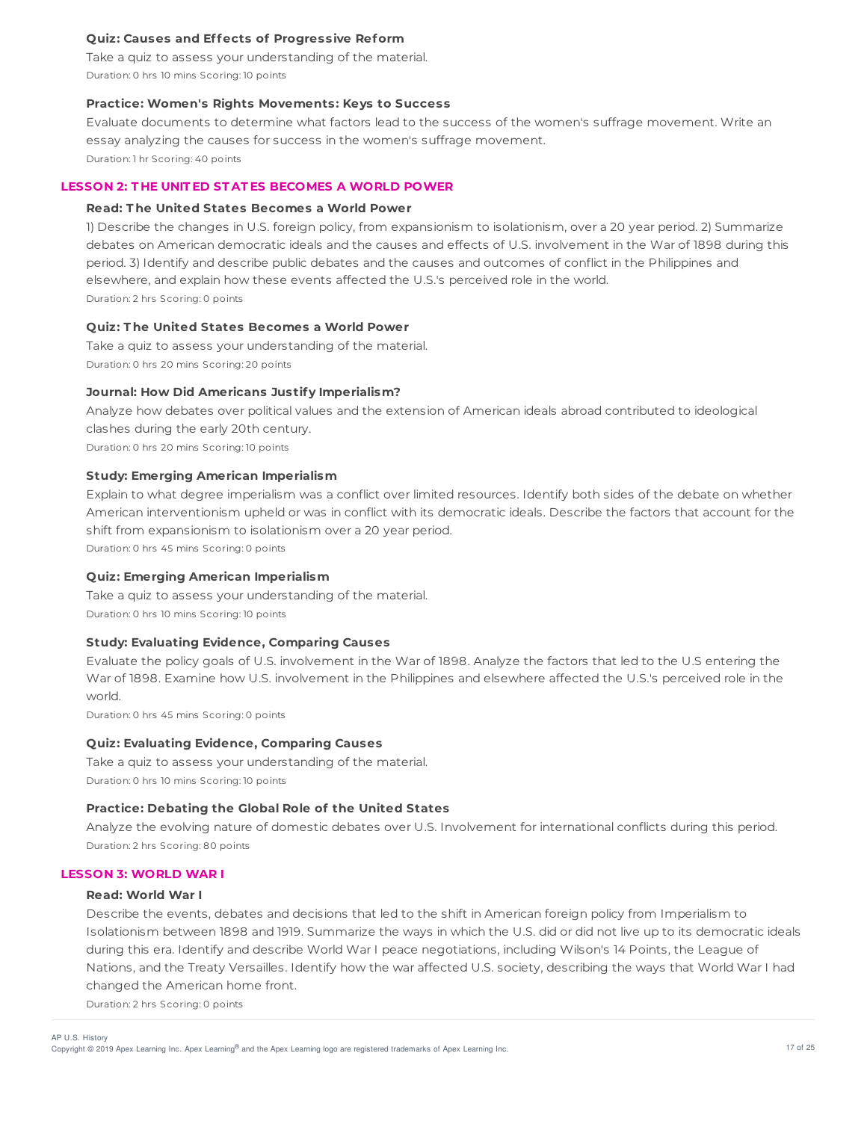# **Quiz: Causes and Effects of Progressive Reform**

Take a quiz to assess your understanding of the material. Duration: 0 hrs 10 mins Scoring: 10 points

# **Practice: Women's Rights Movements: Keys to Success**

Evaluate documents to determine what factors lead to the success of the women's suffrage movement. Write an essay analyzing the causes for success in the women's suffrage movement. Duration: 1 hr Scoring: 40 points

# **LESSON 2: T HE UNIT ED ST AT ES BECOMES A WORLD POWER**

# **Read: T he United States Becomes a World Power**

1) Describe the changes in U.S. foreign policy, from expansionism to isolationism, over a 20 year period. 2) Summarize debates on American democratic ideals and the causes and effects of U.S. involvement in the War of 1898 during this period. 3) Identify and describe public debates and the causes and outcomes of conflict in the Philippines and elsewhere, and explain how these events affected the U.S.'s perceived role in the world. Duration: 2 hrs Scoring: 0 points

**Quiz: T he United States Becomes a World Power**

Take a quiz to assess your understanding of the material. Duration: 0 hrs 20 mins Scoring: 20 points

# **Journal: How Did Americans Justify Imperialism?**

Analyze how debates over political values and the extension of American ideals abroad contributed to ideological clashes during the early 20th century. Duration: 0 hrs 20 mins Scoring: 10 points

# **Study: Emerging American Imperialism**

Explain to what degree imperialism was a conflict over limited resources. Identify both sides of the debate on whether American interventionism upheld or was in conflict with its democratic ideals. Describe the factors that account for the shift from expansionism to isolationism over a 20 year period.

Duration: 0 hrs 45 mins Scoring: 0 points

# **Quiz: Emerging American Imperialism**

Take a quiz to assess your understanding of the material. Duration: 0 hrs 10 mins Scoring: 10 points

# **Study: Evaluating Evidence, Comparing Causes**

Evaluate the policy goals of U.S. involvement in the War of 1898. Analyze the factors that led to the U.S entering the War of 1898. Examine how U.S. involvement in the Philippines and elsewhere affected the U.S.'s perceived role in the world.

Duration: 0 hrs 45 mins Scoring: 0 points

# **Quiz: Evaluating Evidence, Comparing Causes**

Take a quiz to assess your understanding of the material. Duration: 0 hrs 10 mins Scoring: 10 points

# **Practice: Debating the Global Role of the United States**

Analyze the evolving nature of domestic debates over U.S. Involvement for international conflicts during this period. Duration: 2 hrs Scoring: 80 points

# **LESSON 3: WORLD WAR I**

# **Read: World War I**

Describe the events, debates and decisions that led to the shift in American foreign policy from Imperialism to Isolationism between 1898 and 1919. Summarize the ways in which the U.S. did or did not live up to its democratic ideals during this era. Identify and describe World War I peace negotiations, including Wilson's 14 Points, the League of Nations, and the Treaty Versailles. Identify how the war affected U.S. society, describing the ways that World War I had changed the American home front.

Duration: 2 hrs Scoring: 0 points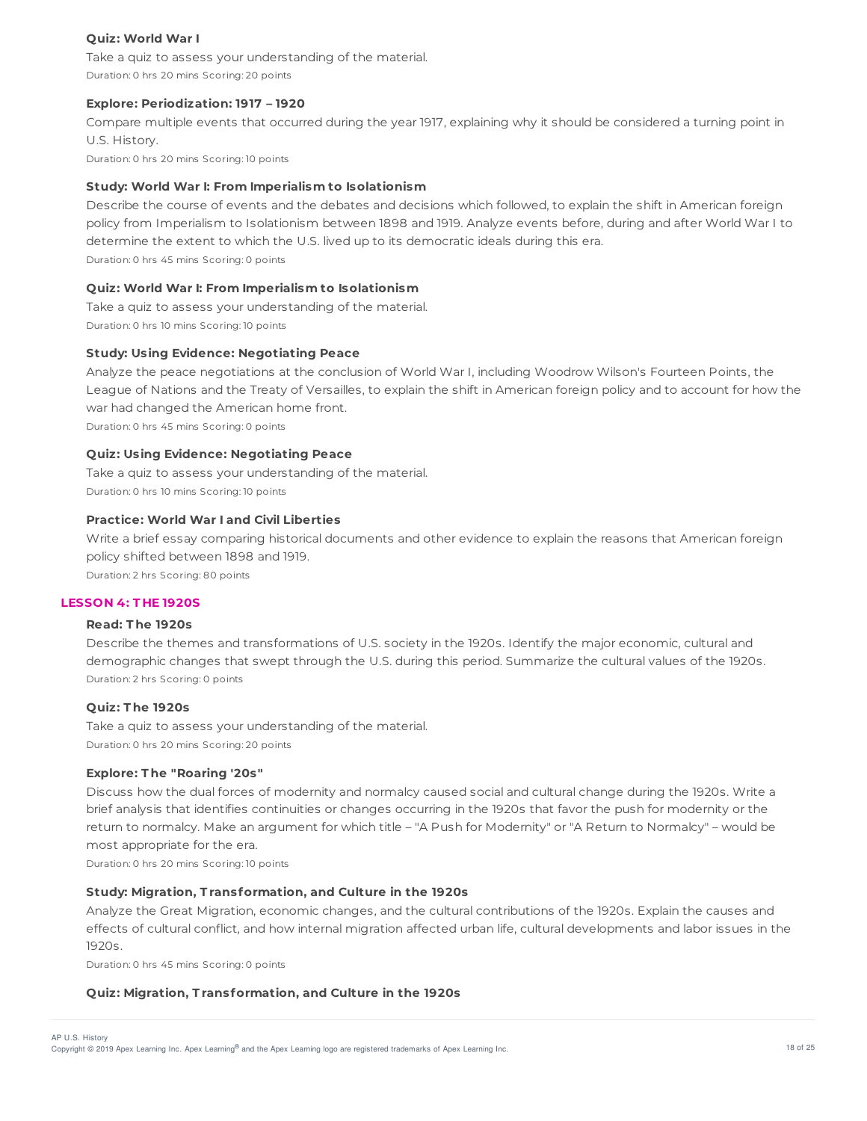# **Quiz: World War I**

Take a quiz to assess your understanding of the material. Duration: 0 hrs 20 mins Scoring: 20 points

# **Explore: Periodization: 1917 – 1920**

Compare multiple events that occurred during the year 1917, explaining why it should be considered a turning point in U.S. History. Duration: 0 hrs 20 mins Scoring: 10 points

**Study: World War I: From Imperialism to Isolationism**

Describe the course of events and the debates and decisions which followed, to explain the shift in American foreign policy from Imperialism to Isolationism between 1898 and 1919. Analyze events before, during and after World War I to determine the extent to which the U.S. lived up to its democratic ideals during this era. Duration: 0 hrs 45 mins Scoring: 0 points

# **Quiz: World War I: From Imperialism to Isolationism**

Take a quiz to assess your understanding of the material. Duration: 0 hrs 10 mins Scoring: 10 points

#### **Study: Using Evidence: Negotiating Peace**

Analyze the peace negotiations at the conclusion of World War I, including Woodrow Wilson's Fourteen Points, the League of Nations and the Treaty of Versailles, to explain the shift in American foreign policy and to account for how the war had changed the American home front.

Duration: 0 hrs 45 mins Scoring: 0 points

#### **Quiz: Using Evidence: Negotiating Peace**

Take a quiz to assess your understanding of the material. Duration: 0 hrs 10 mins Scoring: 10 points

# **Practice: World War I and Civil Liberties**

Write a brief essay comparing historical documents and other evidence to explain the reasons that American foreign policy shifted between 1898 and 1919.

Duration: 2 hrs Scoring: 80 points

#### **LESSON 4: T HE 1920S**

# **Read: T he 1920s**

Describe the themes and transformations of U.S. society in the 1920s. Identify the major economic, cultural and demographic changes that swept through the U.S. during this period. Summarize the cultural values of the 1920s. Duration: 2 hrs Scoring: 0 points

# **Quiz: T he 1920s**

Take a quiz to assess your understanding of the material. Duration: 0 hrs 20 mins Scoring: 20 points

#### **Explore: T he "Roaring '20s"**

Discuss how the dual forces of modernity and normalcy caused social and cultural change during the 1920s. Write a brief analysis that identifies continuities or changes occurring in the 1920s that favor the push for modernity or the return to normalcy. Make an argument for which title – "A Push for Modernity" or "A Return to Normalcy" – would be most appropriate for the era.

Duration: 0 hrs 20 mins Scoring: 10 points

#### **Study: Migration, T ransformation, and Culture in the 1920s**

Analyze the Great Migration, economic changes, and the cultural contributions of the 1920s. Explain the causes and effects of cultural conflict, and how internal migration affected urban life, cultural developments and labor issues in the 1920s.

Duration: 0 hrs 45 mins Scoring: 0 points

# **Quiz: Migration, T ransformation, and Culture in the 1920s**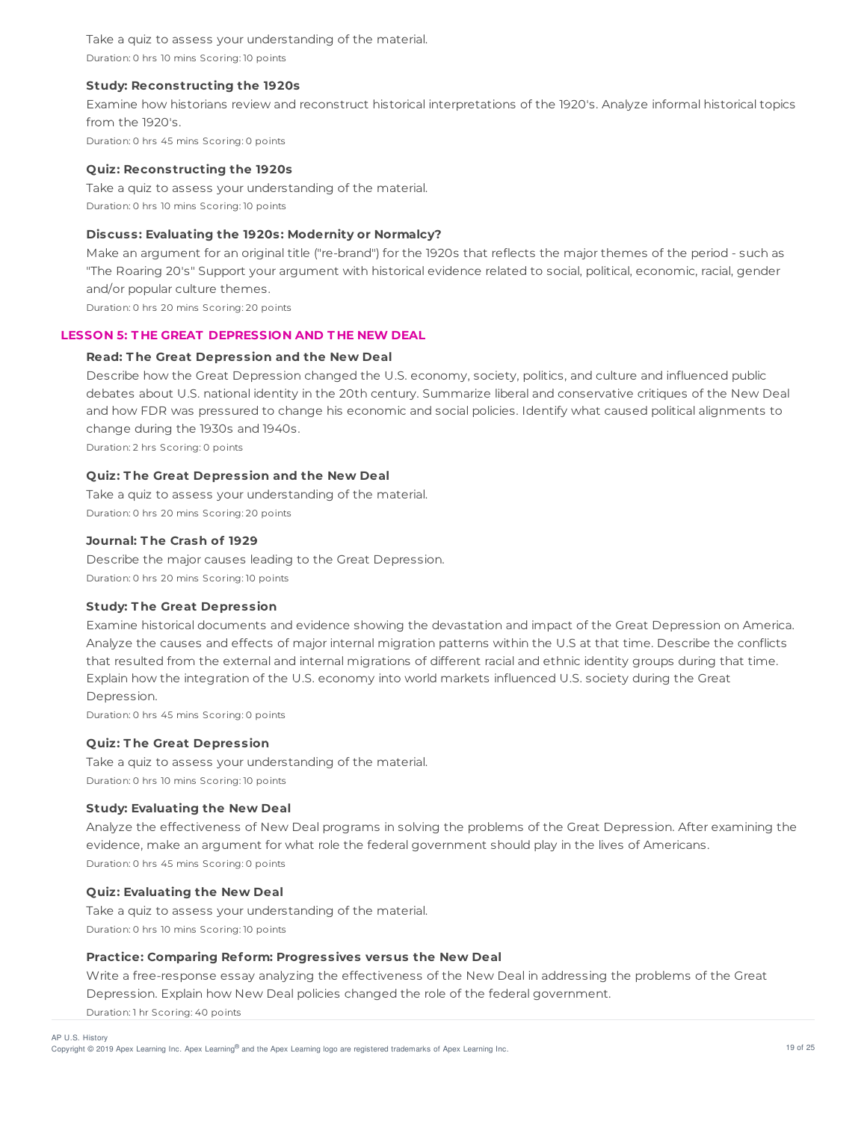Take a quiz to assess your understanding of the material. Duration: 0 hrs 10 mins Scoring: 10 points

# **Study: Reconstructing the 1920s**

Examine how historians review and reconstruct historical interpretations of the 1920's. Analyze informal historical topics from the 1920's.

Duration: 0 hrs 45 mins Scoring: 0 points

## **Quiz: Reconstructing the 1920s**

Take a quiz to assess your understanding of the material. Duration: 0 hrs 10 mins Scoring: 10 points

# **Discuss: Evaluating the 1920s: Modernity or Normalcy?**

Make an argument for an original title ("re-brand") for the 1920s that reflects the major themes of the period - such as "The Roaring 20's" Support your argument with historical evidence related to social, political, economic, racial, gender and/or popular culture themes.

Duration: 0 hrs 20 mins Scoring: 20 points

# **LESSON 5: T HE GREAT DEPRESSION AND T HE NEW DEAL**

# **Read: T he Great Depression and the New Deal**

Describe how the Great Depression changed the U.S. economy, society, politics, and culture and influenced public debates about U.S. national identity in the 20th century. Summarize liberal and conservative critiques of the New Deal and how FDR was pressured to change his economic and social policies. Identify what caused political alignments to change during the 1930s and 1940s.

Duration: 2 hrs Scoring: 0 points

# **Quiz: T he Great Depression and the New Deal**

Take a quiz to assess your understanding of the material. Duration: 0 hrs 20 mins Scoring: 20 points

# **Journal: T he Crash of 1929**

Describe the major causes leading to the Great Depression. Duration: 0 hrs 20 mins Scoring: 10 points

# **Study: T he Great Depression**

Examine historical documents and evidence showing the devastation and impact of the Great Depression on America. Analyze the causes and effects of major internal migration patterns within the U.S at that time. Describe the conflicts that resulted from the external and internal migrations of different racial and ethnic identity groups during that time. Explain how the integration of the U.S. economy into world markets influenced U.S. society during the Great Depression.

Duration: 0 hrs 45 mins Scoring: 0 points

#### **Quiz: T he Great Depression**

Take a quiz to assess your understanding of the material. Duration: 0 hrs 10 mins Scoring: 10 points

# **Study: Evaluating the New Deal**

Analyze the effectiveness of New Deal programs in solving the problems of the Great Depression. After examining the evidence, make an argument for what role the federal government should play in the lives of Americans. Duration: 0 hrs 45 mins Scoring: 0 points

## **Quiz: Evaluating the New Deal**

Take a quiz to assess your understanding of the material. Duration: 0 hrs 10 mins Scoring: 10 points

# **Practice: Comparing Reform: Progressives versus the New Deal**

Write a free-response essay analyzing the effectiveness of the New Deal in addressing the problems of the Great Depression. Explain how New Deal policies changed the role of the federal government. Duration: 1 hr Scoring: 40 points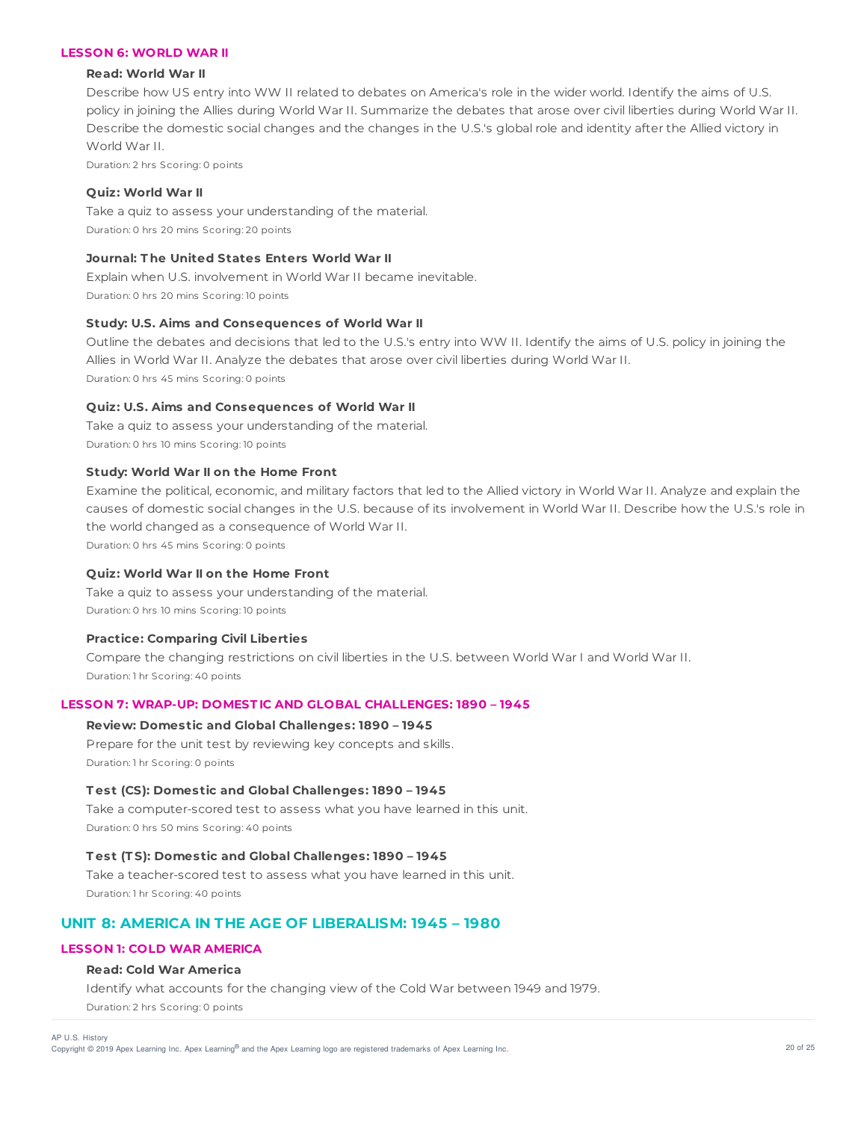# **LESSON 6: WORLD WAR II**

#### **Read: World War II**

Describe how US entry into WW II related to debates on America's role in the wider world. Identify the aims of U.S. policy in joining the Allies during World War II. Summarize the debates that arose over civil liberties during World War II. Describe the domestic social changes and the changes in the U.S.'s global role and identity after the Allied victory in World War II.

Duration: 2 hrs Scoring: 0 points

# **Quiz: World War II**

Take a quiz to assess your understanding of the material. Duration: 0 hrs 20 mins Scoring: 20 points

# **Journal: T he United States Enters World War II**

Explain when U.S. involvement in World War II became inevitable. Duration: 0 hrs 20 mins Scoring: 10 points

# **Study: U.S. Aims and Consequences of World War II**

Outline the debates and decisions that led to the U.S.'s entry into WW II. Identify the aims of U.S. policy in joining the Allies in World War II. Analyze the debates that arose over civil liberties during World War II. Duration: 0 hrs 45 mins Scoring: 0 points

# **Quiz: U.S. Aims and Consequences of World War II**

Take a quiz to assess your understanding of the material. Duration: 0 hrs 10 mins Scoring: 10 points

# **Study: World War II on the Home Front**

Examine the political, economic, and military factors that led to the Allied victory in World War II. Analyze and explain the causes of domestic social changes in the U.S. because of its involvement in World War II. Describe how the U.S.'s role in the world changed as a consequence of World War II.

Duration: 0 hrs 45 mins Scoring: 0 points

#### **Quiz: World War II on the Home Front**

Take a quiz to assess your understanding of the material. Duration: 0 hrs 10 mins Scoring: 10 points

# **Practice: Comparing Civil Liberties**

Compare the changing restrictions on civil liberties in the U.S. between World War I and World War II. Duration: 1 hr Scoring: 40 points

# **LESSON 7: WRAP-UP: DOMEST IC AND GLOBAL CHALLENGES: 1890 – 1945**

# **Review: Domestic and Global Challenges: 1890 – 1945**

Prepare for the unit test by reviewing key concepts and skills. Duration: 1 hr Scoring: 0 points

#### **T est (CS): Domestic and Global Challenges: 1890 – 1945**

Take a computer-scored test to assess what you have learned in this unit. Duration: 0 hrs 50 mins Scoring: 40 points

## **T est (T S): Domestic and Global Challenges: 1890 – 1945**

Take a teacher-scored test to assess what you have learned in this unit. Duration: 1 hr Scoring: 40 points

# **UNIT 8: AMERICA IN THE AGE OF LIBERALISM: 1945 – 1980**

# **LESSON 1: COLD WAR AMERICA**

#### **Read: Cold War America**

Identify what accounts for the changing view of the Cold War between 1949 and 1979. Duration: 2 hrs Scoring: 0 points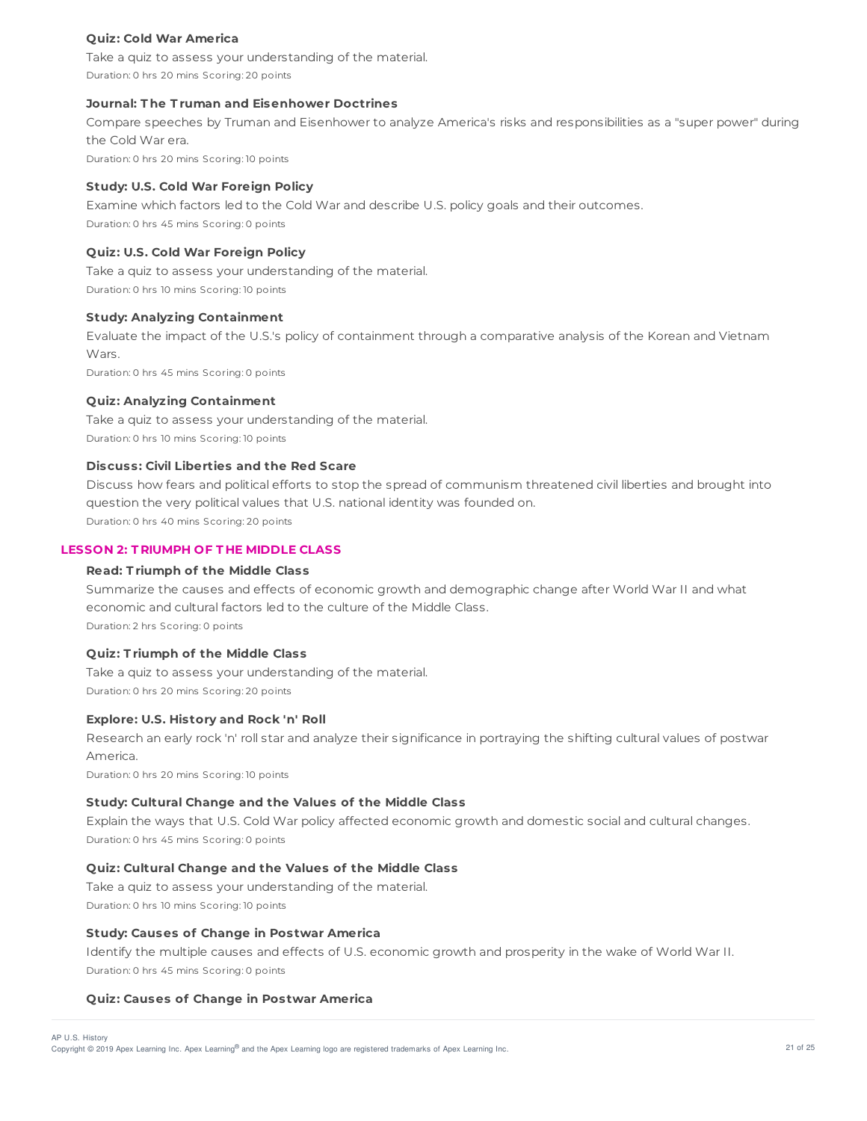# **Quiz: Cold War America**

Take a quiz to assess your understanding of the material. Duration: 0 hrs 20 mins Scoring: 20 points

# **Journal: T he T ruman and Eisenhower Doctrines**

Compare speeches by Truman and Eisenhower to analyze America's risks and responsibilities as a "super power" during the Cold War era.

Duration: 0 hrs 20 mins Scoring: 10 points

# **Study: U.S. Cold War Foreign Policy**

Examine which factors led to the Cold War and describe U.S. policy goals and their outcomes. Duration: 0 hrs 45 mins Scoring: 0 points

## **Quiz: U.S. Cold War Foreign Policy**

Take a quiz to assess your understanding of the material. Duration: 0 hrs 10 mins Scoring: 10 points

# **Study: Analyzing Containment**

Evaluate the impact of the U.S.'s policy of containment through a comparative analysis of the Korean and Vietnam Wars.

Duration: 0 hrs 45 mins Scoring: 0 points

#### **Quiz: Analyzing Containment**

Take a quiz to assess your understanding of the material. Duration: 0 hrs 10 mins Scoring: 10 points

# **Discuss: Civil Liberties and the Red Scare**

Discuss how fears and political efforts to stop the spread of communism threatened civil liberties and brought into question the very political values that U.S. national identity was founded on. Duration: 0 hrs 40 mins Scoring: 20 points

## **LESSON 2: T RIUMPH OF T HE MIDDLE CLASS**

#### **Read: T riumph of the Middle Class**

Summarize the causes and effects of economic growth and demographic change after World War II and what economic and cultural factors led to the culture of the Middle Class. Duration: 2 hrs Scoring: 0 points

# **Quiz: T riumph of the Middle Class**

Take a quiz to assess your understanding of the material. Duration: 0 hrs 20 mins Scoring: 20 points

#### **Explore: U.S. History and Rock 'n' Roll**

Research an early rock 'n' roll star and analyze their significance in portraying the shifting cultural values of postwar America.

Duration: 0 hrs 20 mins Scoring: 10 points

# **Study: Cultural Change and the Values of the Middle Class**

Explain the ways that U.S. Cold War policy affected economic growth and domestic social and cultural changes. Duration: 0 hrs 45 mins Scoring: 0 points

# **Quiz: Cultural Change and the Values of the Middle Class**

Take a quiz to assess your understanding of the material. Duration: 0 hrs 10 mins Scoring: 10 points

# **Study: Causes of Change in Postwar America**

Identify the multiple causes and effects of U.S. economic growth and prosperity in the wake of World War II. Duration: 0 hrs 45 mins Scoring: 0 points

#### **Quiz: Causes of Change in Postwar America**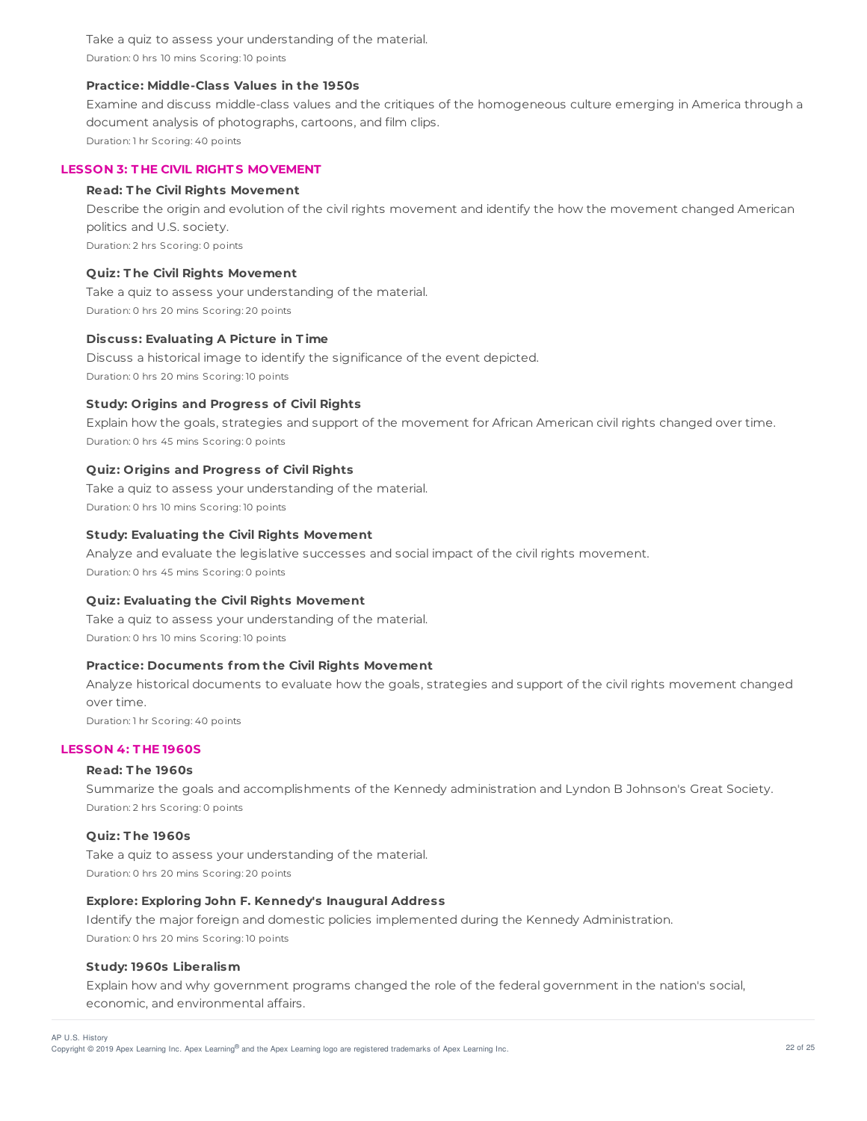Take a quiz to assess your understanding of the material. Duration: 0 hrs 10 mins Scoring: 10 points

# **Practice: Middle-Class Values in the 1950s**

Examine and discuss middle-class values and the critiques of the homogeneous culture emerging in America through a document analysis of photographs, cartoons, and film clips. Duration: 1 hr Scoring: 40 points

# **LESSON 3: T HE CIVIL RIGHT S MOVEMENT**

#### **Read: T he Civil Rights Movement**

Describe the origin and evolution of the civil rights movement and identify the how the movement changed American politics and U.S. society. Duration: 2 hrs Scoring: 0 points

#### **Quiz: T he Civil Rights Movement**

Take a quiz to assess your understanding of the material. Duration: 0 hrs 20 mins Scoring: 20 points

#### **Discuss: Evaluating A Picture in T ime**

Discuss a historical image to identify the significance of the event depicted. Duration: 0 hrs 20 mins Scoring: 10 points

#### **Study: Origins and Progress of Civil Rights**

Explain how the goals, strategies and support of the movement for African American civil rights changed over time. Duration: 0 hrs 45 mins Scoring: 0 points

#### **Quiz: Origins and Progress of Civil Rights**

Take a quiz to assess your understanding of the material. Duration: 0 hrs 10 mins Scoring: 10 points

# **Study: Evaluating the Civil Rights Movement**

Analyze and evaluate the legislative successes and social impact of the civil rights movement. Duration: 0 hrs 45 mins Scoring: 0 points

# **Quiz: Evaluating the Civil Rights Movement**

Take a quiz to assess your understanding of the material. Duration: 0 hrs 10 mins Scoring: 10 points

# **Practice: Documents f rom the Civil Rights Movement**

Analyze historical documents to evaluate how the goals, strategies and support of the civil rights movement changed over time. Duration: 1 hr Scoring: 40 points

# **LESSON 4: T HE 1960S**

## **Read: T he 1960s**

Summarize the goals and accomplishments of the Kennedy administration and Lyndon B Johnson's Great Society. Duration: 2 hrs Scoring: 0 points

#### **Quiz: T he 1960s**

Take a quiz to assess your understanding of the material. Duration: 0 hrs 20 mins Scoring: 20 points

# **Explore: Exploring John F. Kennedy's Inaugural Address**

Identify the major foreign and domestic policies implemented during the Kennedy Administration. Duration: 0 hrs 20 mins Scoring: 10 points

#### **Study: 1960s Liberalism**

Explain how and why government programs changed the role of the federal government in the nation's social, economic, and environmental affairs.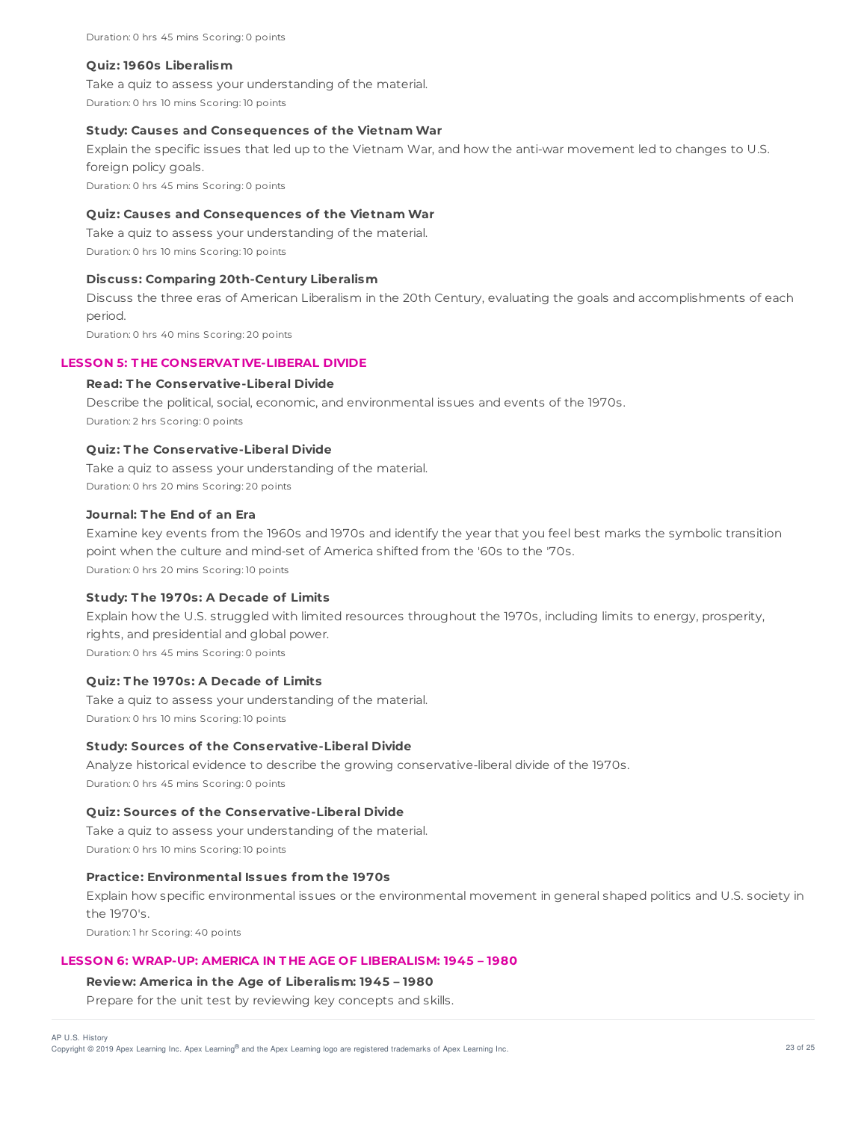#### **Quiz: 1960s Liberalism**

Take a quiz to assess your understanding of the material. Duration: 0 hrs 10 mins Scoring: 10 points

## **Study: Causes and Consequences of the Vietnam War**

Explain the specific issues that led up to the Vietnam War, and how the anti-war movement led to changes to U.S. foreign policy goals.

Duration: 0 hrs 45 mins Scoring: 0 points

# **Quiz: Causes and Consequences of the Vietnam War**

Take a quiz to assess your understanding of the material. Duration: 0 hrs 10 mins Scoring: 10 points

#### **Discuss: Comparing 20th-Century Liberalism**

Discuss the three eras of American Liberalism in the 20th Century, evaluating the goals and accomplishments of each period.

Duration: 0 hrs 40 mins Scoring: 20 points

# **LESSON 5: T HE CONSERVAT IVE-LIBERAL DIVIDE**

# **Read: T he Conservative-Liberal Divide**

Describe the political, social, economic, and environmental issues and events of the 1970s. Duration: 2 hrs Scoring: 0 points

#### **Quiz: T he Conservative-Liberal Divide**

Take a quiz to assess your understanding of the material. Duration: 0 hrs 20 mins Scoring: 20 points

# **Journal: T he End of an Era**

Examine key events from the 1960s and 1970s and identify the year that you feel best marks the symbolic transition point when the culture and mind-set of America shifted from the '60s to the '70s. Duration: 0 hrs 20 mins Scoring: 10 points

#### **Study: T he 1970s: A Decade of Limits**

Explain how the U.S. struggled with limited resources throughout the 1970s, including limits to energy, prosperity, rights, and presidential and global power. Duration: 0 hrs 45 mins Scoring: 0 points

# **Quiz: T he 1970s: A Decade of Limits**

Take a quiz to assess your understanding of the material. Duration: 0 hrs 10 mins Scoring: 10 points

#### **Study: Sources of the Conservative-Liberal Divide**

Analyze historical evidence to describe the growing conservative-liberal divide of the 1970s. Duration: 0 hrs 45 mins Scoring: 0 points

# **Quiz: Sources of the Conservative-Liberal Divide**

Take a quiz to assess your understanding of the material. Duration: 0 hrs 10 mins Scoring: 10 points

# **Practice: Environmental Issues f rom the 1970s**

Explain how specific environmental issues or the environmental movement in general shaped politics and U.S. society in the 1970's.

Duration: 1 hr Scoring: 40 points

#### **LESSON 6: WRAP-UP: AMERICA IN T HE AGE OF LIBERALISM: 1945 – 1980**

#### **Review: America in the Age of Liberalism: 1945 – 1980**

Prepare for the unit test by reviewing key concepts and skills.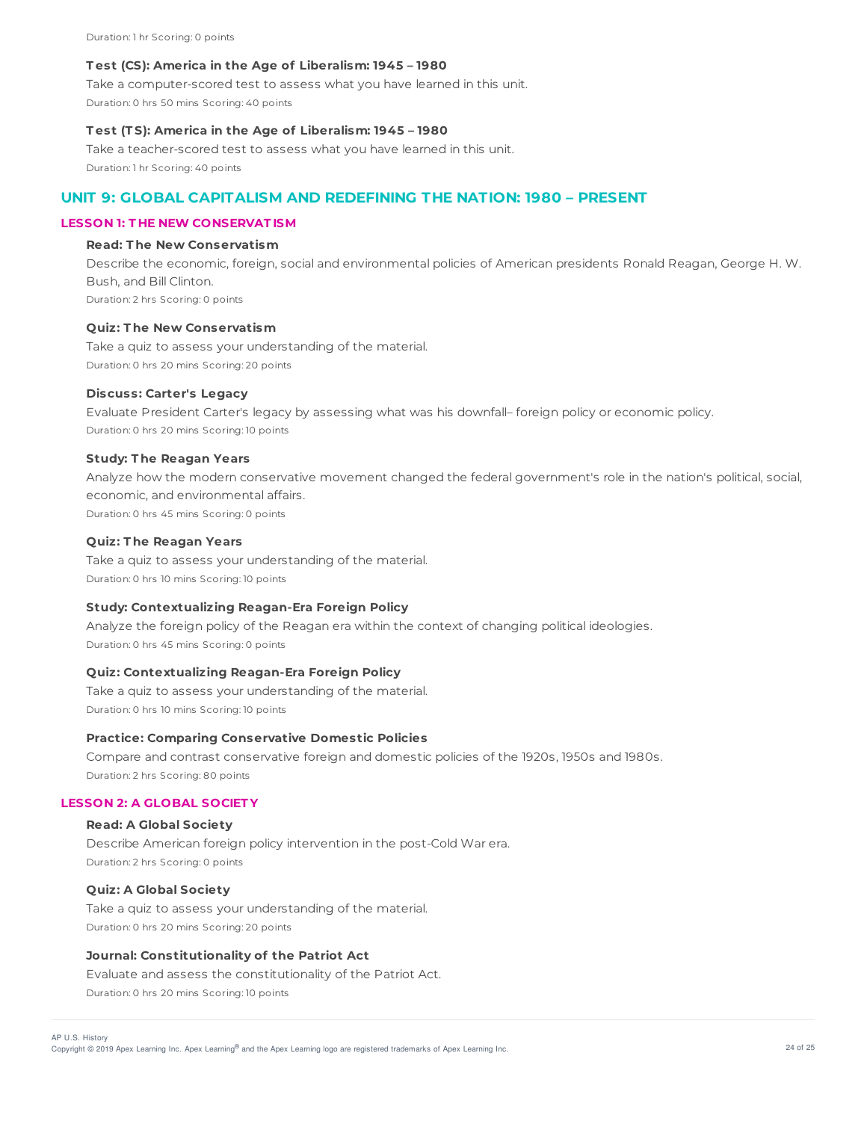Duration: 1 hr Scoring: 0 points

#### **T est (CS): America in the Age of Liberalism: 1945 – 1980**

Take a computer-scored test to assess what you have learned in this unit. Duration: 0 hrs 50 mins Scoring: 40 points

## **T est (T S): America in the Age of Liberalism: 1945 – 1980**

Take a teacher-scored test to assess what you have learned in this unit. Duration: 1 hr Scoring: 40 points

# **UNIT 9: GLOBAL CAPITALISM AND REDEFINING THE NATION: 1980 – PRESENT**

## **LESSON 1: T HE NEW CONSERVAT ISM**

# **Read: T he New Conservatism**

Describe the economic, foreign, social and environmental policies of American presidents Ronald Reagan, George H. W. Bush, and Bill Clinton. Duration: 2 hrs Scoring: 0 points

#### **Quiz: T he New Conservatism**

Take a quiz to assess your understanding of the material. Duration: 0 hrs 20 mins Scoring: 20 points

#### **Discuss: Carter's Legacy**

Evaluate President Carter's legacy by assessing what was his downfall– foreign policy or economic policy. Duration: 0 hrs 20 mins Scoring: 10 points

#### **Study: T he Reagan Years**

Analyze how the modern conservative movement changed the federal government's role in the nation's political, social, economic, and environmental affairs. Duration: 0 hrs 45 mins Scoring: 0 points

#### **Quiz: T he Reagan Years**

Take a quiz to assess your understanding of the material. Duration: 0 hrs 10 mins Scoring: 10 points

# **Study: Contextualizing Reagan-Era Foreign Policy**

Analyze the foreign policy of the Reagan era within the context of changing political ideologies. Duration: 0 hrs 45 mins Scoring: 0 points

# **Quiz: Contextualizing Reagan-Era Foreign Policy**

Take a quiz to assess your understanding of the material. Duration: 0 hrs 10 mins Scoring: 10 points

## **Practice: Comparing Conservative Domestic Policies**

Compare and contrast conservative foreign and domestic policies of the 1920s, 1950s and 1980s. Duration: 2 hrs Scoring: 80 points

## **LESSON 2: A GLOBAL SOCIET Y**

## **Read: A Global Society**

Describe American foreign policy intervention in the post-Cold War era. Duration: 2 hrs Scoring: 0 points

# **Quiz: A Global Society**

Take a quiz to assess your understanding of the material. Duration: 0 hrs 20 mins Scoring: 20 points

# **Journal: Constitutionality of the Patriot Act**

Evaluate and assess the constitutionality of the Patriot Act. Duration: 0 hrs 20 mins Scoring: 10 points